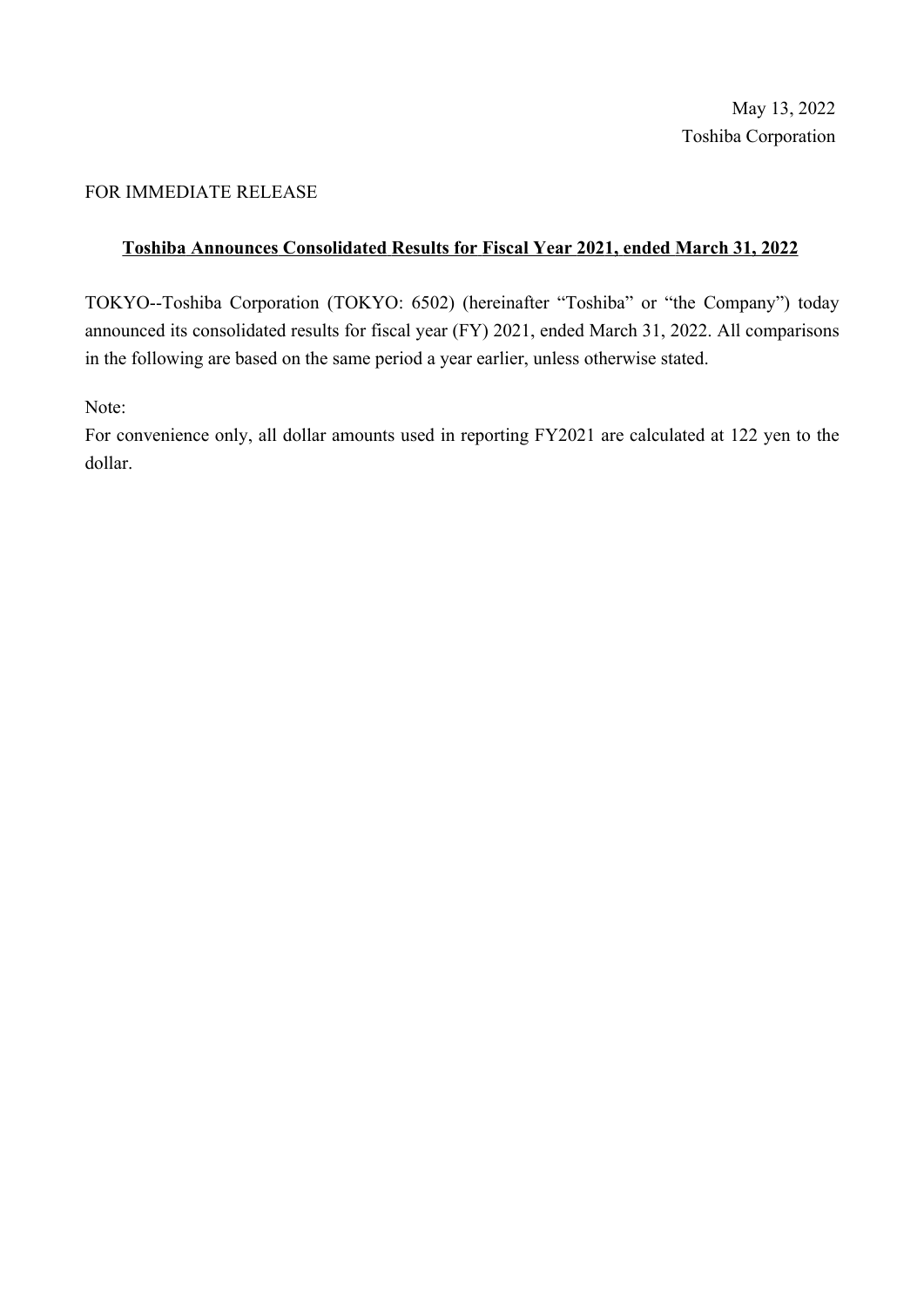#### FOR IMMEDIATE RELEASE

#### Toshiba Announces Consolidated Results for Fiscal Year 2021, ended March 31, 2022

TOKYO--Toshiba Corporation (TOKYO: 6502) (hereinafter "Toshiba" or "the Company") today announced its consolidated results for fiscal year (FY) 2021, ended March 31, 2022. All comparisons in the following are based on the same period a year earlier, unless otherwise stated.

Note:

For convenience only, all dollar amounts used in reporting FY2021 are calculated at 122 yen to the dollar.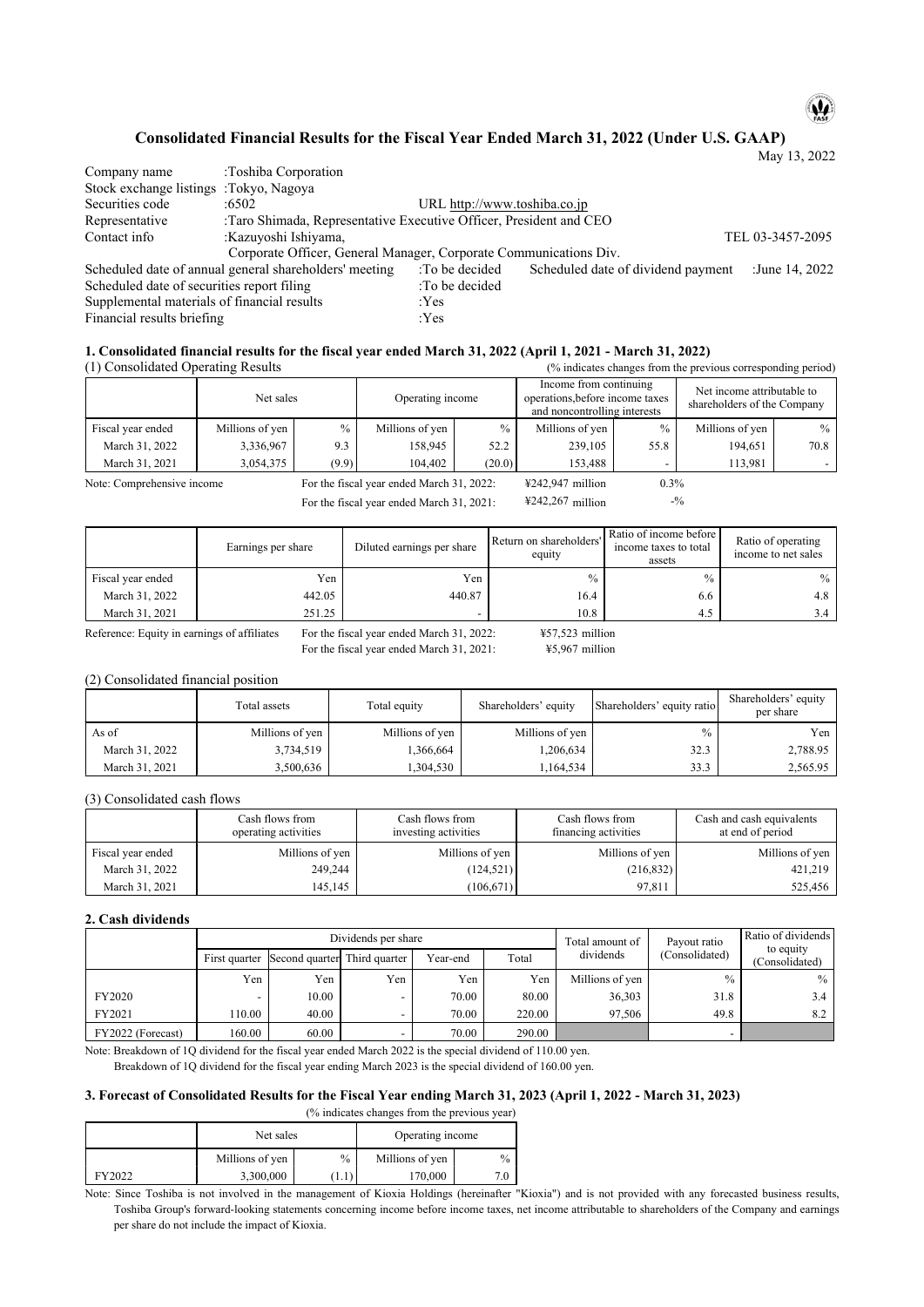# $\mathbf{\omega}$

#### Consolidated Financial Results for the Fiscal Year Ended March 31, 2022 (Under U.S. GAAP)

|                                             |                                                                    |                              |                                    | May 13, 2022     |
|---------------------------------------------|--------------------------------------------------------------------|------------------------------|------------------------------------|------------------|
| Company name                                | :Toshiba Corporation                                               |                              |                                    |                  |
| Stock exchange listings :Tokyo, Nagoya      |                                                                    |                              |                                    |                  |
| Securities code                             | :6502                                                              | URL http://www.toshiba.co.jp |                                    |                  |
| Representative                              | :Taro Shimada, Representative Executive Officer, President and CEO |                              |                                    |                  |
| Contact info                                | :Kazuyoshi Ishiyama,                                               |                              |                                    | TEL 03-3457-2095 |
|                                             | Corporate Officer, General Manager, Corporate Communications Div.  |                              |                                    |                  |
|                                             | Scheduled date of annual general shareholders' meeting             | :To be decided               | Scheduled date of dividend payment | :June 14, 2022   |
| Scheduled date of securities report filing  |                                                                    | :To be decided               |                                    |                  |
| Supplemental materials of financial results |                                                                    | : Yes                        |                                    |                  |
| Financial results briefing                  |                                                                    | :Yes                         |                                    |                  |

#### 1. Consolidated financial results for the fiscal year ended March 31, 2022 (April 1, 2021 - March 31, 2022) (% indicates changes from the previous corresponding period)

(1) Consolidated Operating Results

|                            | Net sales       | Operating income |                                           | Income from continuing<br>operations, before income taxes<br>and noncontrolling interests |                                       | Net income attributable to<br>shareholders of the Company |                 |      |
|----------------------------|-----------------|------------------|-------------------------------------------|-------------------------------------------------------------------------------------------|---------------------------------------|-----------------------------------------------------------|-----------------|------|
| Fiscal year ended          | Millions of yen | $\%$             | Millions of yen                           | $\frac{0}{0}$                                                                             | Millions of yen                       | $\%$                                                      | Millions of yen | $\%$ |
| March 31, 2022             | 3,336,967       | 9.3              | 158.945                                   | 52.2                                                                                      | 239,105                               | 55.8                                                      | 194,651         | 70.8 |
| March 31, 2021             | 3,054,375       | (9.9)            | 104,402                                   | (20.0)                                                                                    | 153.488                               |                                                           | 113,981         |      |
| Note: Comprehensive income |                 |                  | For the fiscal year ended March 31, 2022: |                                                                                           | $\text{\textsterling}242.947$ million | 0.3%                                                      |                 |      |

For the fiscal year ended March 31, 2021:

¥242,267 million

 $\mathord{\text{--}}\mathcal{V}_0$ 

|                   | Earnings per share | Diluted earnings per share | Return on shareholders'<br>equity | Ratio of income before<br>income taxes to total<br>assets | Ratio of operating<br>income to net sales |
|-------------------|--------------------|----------------------------|-----------------------------------|-----------------------------------------------------------|-------------------------------------------|
| Fiscal year ended | Yen                | Yen                        | $\frac{0}{0}$                     | $\frac{0}{0}$                                             | $\%$                                      |
| March 31, 2022    | 442.05             | 440.87                     | 16.4                              | 6.6                                                       | 4.8                                       |
| March 31, 2021    | 251.25             |                            | 10.8                              | 4.5                                                       | 3.4                                       |

Reference: Equity in earnings of affiliates

For the fiscal year ended March 31, 2022: For the fiscal year ended March 31, 2021:  $¥57,523$  million ¥5,967 million

#### (2) Consolidated financial position

|                | Total assets    | Total equity    | Shareholders' equity | Shareholders' equity ratio | Shareholders' equity<br>per share |
|----------------|-----------------|-----------------|----------------------|----------------------------|-----------------------------------|
| As of          | Millions of yen | Millions of yen | Millions of yen      | $\%$                       | Yen                               |
| March 31, 2022 | 3,734,519       | .366,664        | 1,206,634            | 32.3                       | 2,788.95                          |
| March 31, 2021 | 3,500,636       | .304,530        | 1,164,534            | 33.3                       | 2,565.95                          |

#### (3) Consolidated cash flows

|                   | Cash flows from<br>operating activities | Cash flows from<br>investing activities | Cash flows from<br>financing activities | Cash and cash equivalents<br>at end of period |
|-------------------|-----------------------------------------|-----------------------------------------|-----------------------------------------|-----------------------------------------------|
| Fiscal year ended | Millions of yen                         | Millions of yen                         | Millions of yen                         | Millions of yen                               |
| March 31, 2022    | 249,244                                 | (124, 521)                              | (216, 832)                              | 421,219                                       |
| March 31, 2021    | 145.145                                 | (106, 671)                              | 97.811                                  | 525,456                                       |

#### 2. Cash dividends

|                   |        |                                            | Dividends per share | Total amount of | Payout ratio | Ratio of dividends<br>to equity |                |                |
|-------------------|--------|--------------------------------------------|---------------------|-----------------|--------------|---------------------------------|----------------|----------------|
|                   |        | First quarter Second quarter Third quarter |                     | Year-end        | Total        | dividends                       | (Consolidated) | (Consolidated) |
|                   | Yen    | Yen.                                       | Yen                 | Yen             | Yen          | Millions of yen                 | $\frac{0}{0}$  | $\%$ 1         |
| FY2020            |        | 10.00                                      |                     | 70.00           | 80.00        | 36,303                          | 31.8           | 3.4            |
| FY2021            | 110.00 | 40.00                                      |                     | 70.00           | 220.00       | 97.506                          | 49.8           | 8.2            |
| FY2022 (Forecast) | 160.00 | 60.00                                      |                     | 70.00           | 290.00       |                                 |                |                |

Note: Breakdown of 1Q dividend for the fiscal year ended March 2022 is the special dividend of 110.00 yen. Breakdown of 1Q dividend for the fiscal year ending March 2023 is the special dividend of 160.00 yen.

#### 3. Forecast of Consolidated Results for the Fiscal Year ending March 31, 2023 (April 1, 2022 - March 31, 2023)  $%$  indicates changes from the previous year)

|         | Net sales       |               | $\frac{1}{2}$ intercutes entingly from the previous year.<br>Operating income |      |
|---------|-----------------|---------------|-------------------------------------------------------------------------------|------|
| FY2022. | Millions of yen | $\frac{0}{0}$ | Millions of yen                                                               | $\%$ |
|         | 3,300,000       | 1.1           | 70,000                                                                        | 7.0  |

Note: Since Toshiba is not involved in the management of Kioxia Holdings (hereinafter "Kioxia") and is not provided with any forecasted business results, Toshiba Group's forward-looking statements concerning income before income taxes, net income attributable to shareholders of the Company and earnings per share do not include the impact of Kioxia.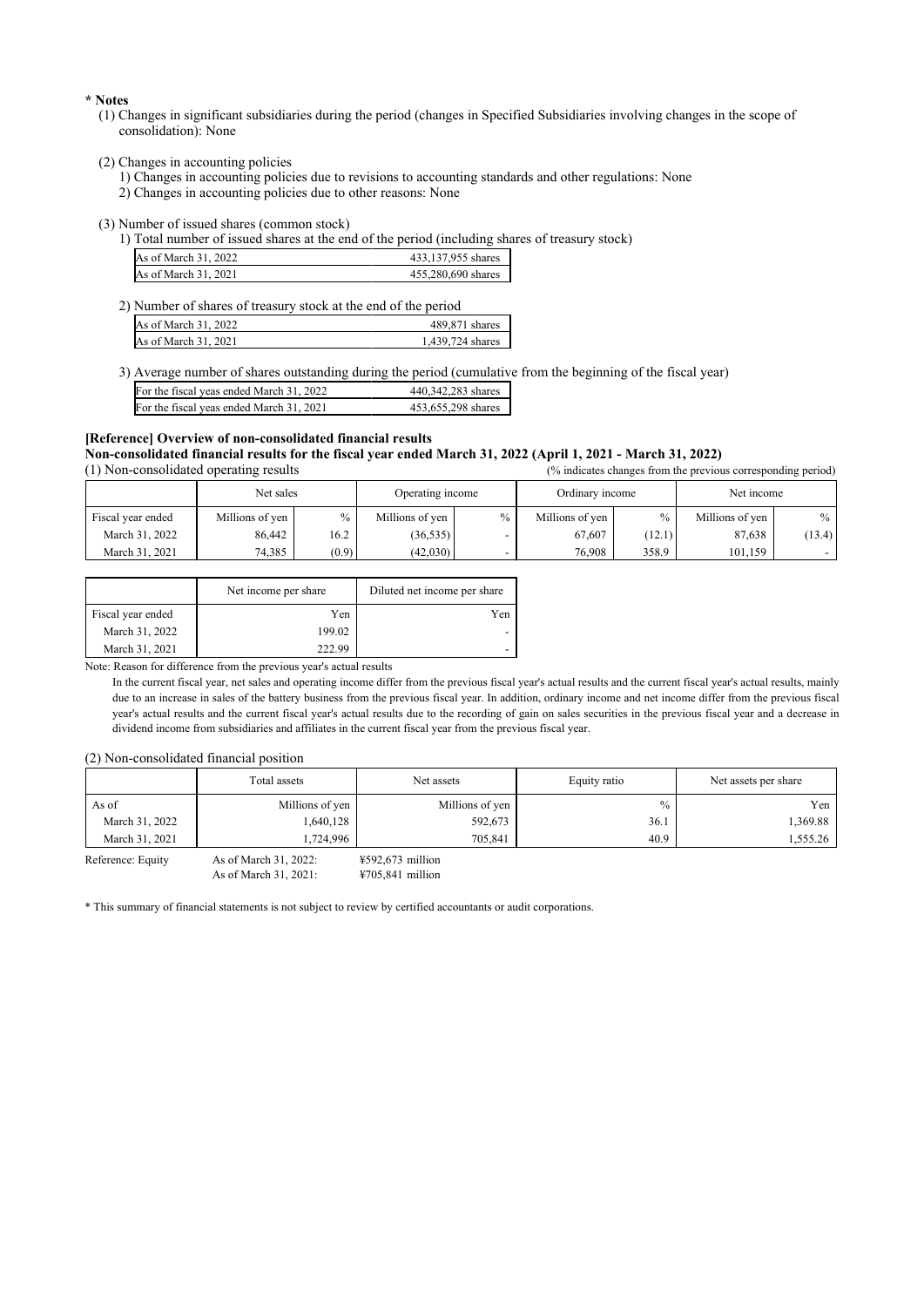\* Notes

- (1) Changes in significant subsidiaries during the period (changes in Specified Subsidiaries involving changes in the scope of consolidation): None
- (2) Changes in accounting policies
	- 1) Changes in accounting policies due to revisions to accounting standards and other regulations: None
	- 2) Changes in accounting policies due to other reasons: None

(3) Number of issued shares (common stock)

1) Total number of issued shares at the end of the period (including shares of treasury stock)

| As of March 31, 2022 | 433,137,955 shares |
|----------------------|--------------------|
| As of March 31, 2021 | 455,280,690 shares |

| 2) Number of shares of treasury stock at the end of the period |                  |  |  |  |  |
|----------------------------------------------------------------|------------------|--|--|--|--|
| As of March 31, 2022                                           | 489,871 shares   |  |  |  |  |
| As of March 31, 2021                                           | 1.439.724 shares |  |  |  |  |

3) Average number of shares outstanding during the period (cumulative from the beginning of the fiscal year)

| For the fiscal yeas ended March 31, 2022 | 440.342.283 shares |
|------------------------------------------|--------------------|
| For the fiscal yeas ended March 31, 2021 | 453,655,298 shares |

#### [Reference] Overview of non-consolidated financial results Non-consolidated financial results for the fiscal year ended March 31, 2022 (April 1, 2021 - March 31, 2022) (1) Non-consolidated operating results  $\alpha$  indicates changes from the previous corresponding period)

| , a mareated enample from the previous corresponding period, |                 |       |                  |               |                 |               |                 |        |
|--------------------------------------------------------------|-----------------|-------|------------------|---------------|-----------------|---------------|-----------------|--------|
|                                                              | Net sales       |       | Operating income |               | Ordinary income |               | Net income      |        |
| Fiscal year ended                                            | Millions of yen | $\%$  | Millions of yen  | $\frac{0}{0}$ | Millions of yen | $\frac{0}{0}$ | Millions of yen | $\%$   |
| March 31, 2022                                               | 86,442          | 16.2  | (36, 535)        |               | 67.607          | (12.1)        | 87,638          | (13.4) |
| March 31, 2021                                               | 74,385          | (0.9) | (42,030)         |               | 76,908          | 358.9         | 101,159         |        |

|                   | Net income per share | Diluted net income per share |
|-------------------|----------------------|------------------------------|
| Fiscal year ended | Yen                  | Yen                          |
| March 31, 2022    | 199.02               |                              |
| March 31, 2021    | 222.99               |                              |

Note: Reason for difference from the previous year's actual results

In the current fiscal year, net sales and operating income differ from the previous fiscal year's actual results and the current fiscal year's actual results, mainly due to an increase in sales of the battery business from the previous fiscal year. In addition, ordinary income and net income differ from the previous fiscal year's actual results and the current fiscal year's actual results due to the recording of gain on sales securities in the previous fiscal year and a decrease in dividend income from subsidiaries and affiliates in the current fiscal year from the previous fiscal year.

#### (2) Non-consolidated financial position

| Total assets      |                        | Net assets         | Equity ratio  | Net assets per share |
|-------------------|------------------------|--------------------|---------------|----------------------|
| As of             | Millions of yen        | Millions of yen    | $\frac{0}{0}$ | Yen                  |
| March 31, 2022    | 1,640,128              | 592,673            | 36.1          | 1,369.88             |
| March 31, 2021    | 1.724.996              | 705,841            | 40.9          | 1,555.26             |
| Reference: Equity | As of March $31, 2022$ | $4592.673$ million |               |                      |

quity As of March  $31, 2021$ :

\* This summary of financial statements is not subject to review by certified accountants or audit corporations.

¥705,841 million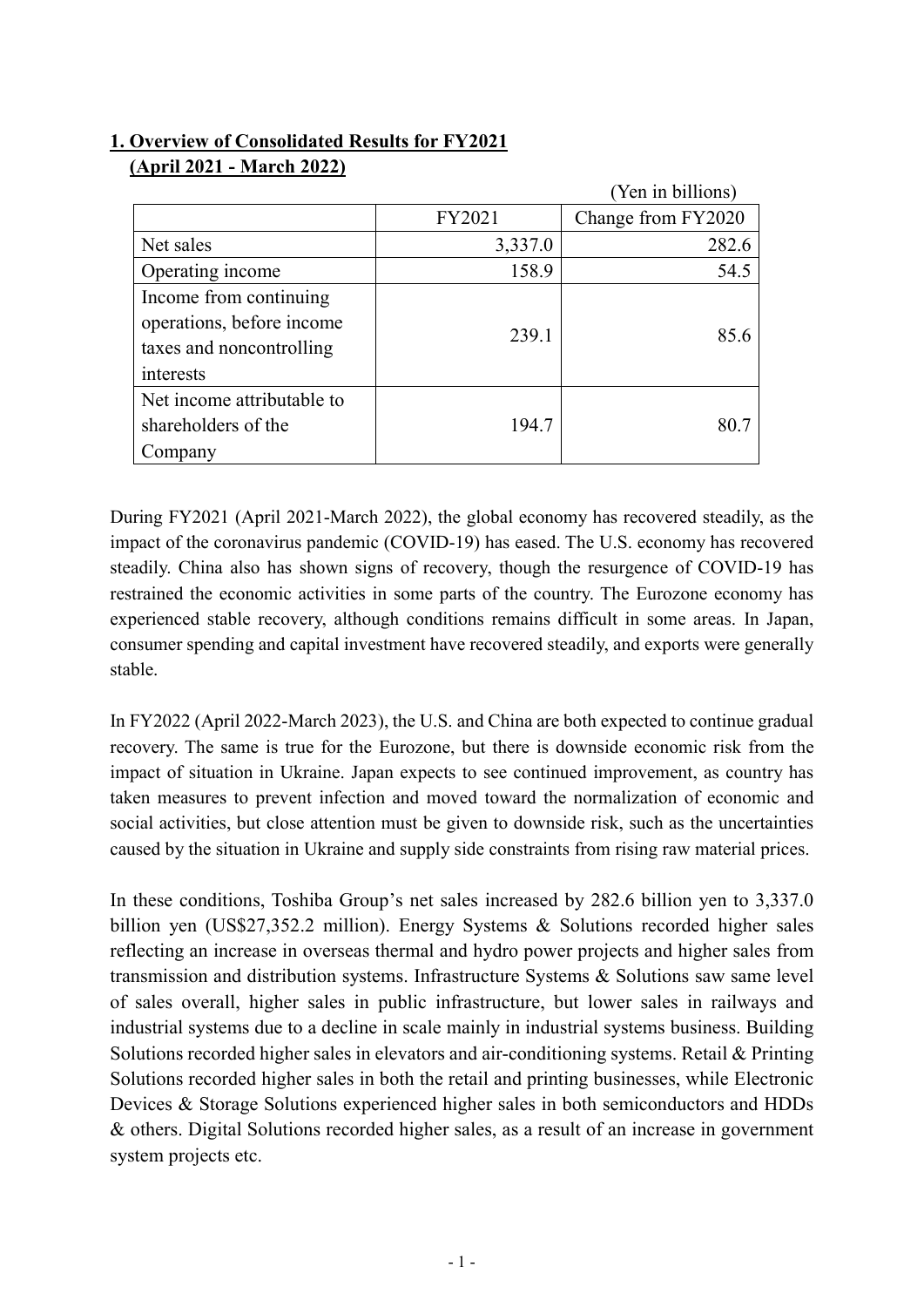# **1. Overview of Consolidated Results for FY2021 (April 2021 - March 2022)**

|                                                                                              |         | (Yen in billions)  |
|----------------------------------------------------------------------------------------------|---------|--------------------|
|                                                                                              | FY2021  | Change from FY2020 |
| Net sales                                                                                    | 3,337.0 | 282.6              |
| Operating income                                                                             | 158.9   | 54.5               |
| Income from continuing<br>operations, before income<br>taxes and noncontrolling<br>interests | 239.1   | 85.6               |
| Net income attributable to<br>shareholders of the<br>Company                                 | 194.7   | 80.7               |

During FY2021 (April 2021-March 2022), the global economy has recovered steadily, as the impact of the coronavirus pandemic (COVID-19) has eased. The U.S. economy has recovered steadily. China also has shown signs of recovery, though the resurgence of COVID-19 has restrained the economic activities in some parts of the country. The Eurozone economy has experienced stable recovery, although conditions remains difficult in some areas. In Japan, consumer spending and capital investment have recovered steadily, and exports were generally stable.

In FY2022 (April 2022-March 2023), the U.S. and China are both expected to continue gradual recovery. The same is true for the Eurozone, but there is downside economic risk from the impact of situation in Ukraine. Japan expects to see continued improvement, as country has taken measures to prevent infection and moved toward the normalization of economic and social activities, but close attention must be given to downside risk, such as the uncertainties caused by the situation in Ukraine and supply side constraints from rising raw material prices.

In these conditions, Toshiba Group's net sales increased by 282.6 billion yen to 3,337.0 billion yen (US\$27,352.2 million). Energy Systems & Solutions recorded higher sales reflecting an increase in overseas thermal and hydro power projects and higher sales from transmission and distribution systems. Infrastructure Systems & Solutions saw same level of sales overall, higher sales in public infrastructure, but lower sales in railways and industrial systems due to a decline in scale mainly in industrial systems business. Building Solutions recorded higher sales in elevators and air-conditioning systems. Retail & Printing Solutions recorded higher sales in both the retail and printing businesses, while Electronic Devices & Storage Solutions experienced higher sales in both semiconductors and HDDs & others. Digital Solutions recorded higher sales, as a result of an increase in government system projects etc.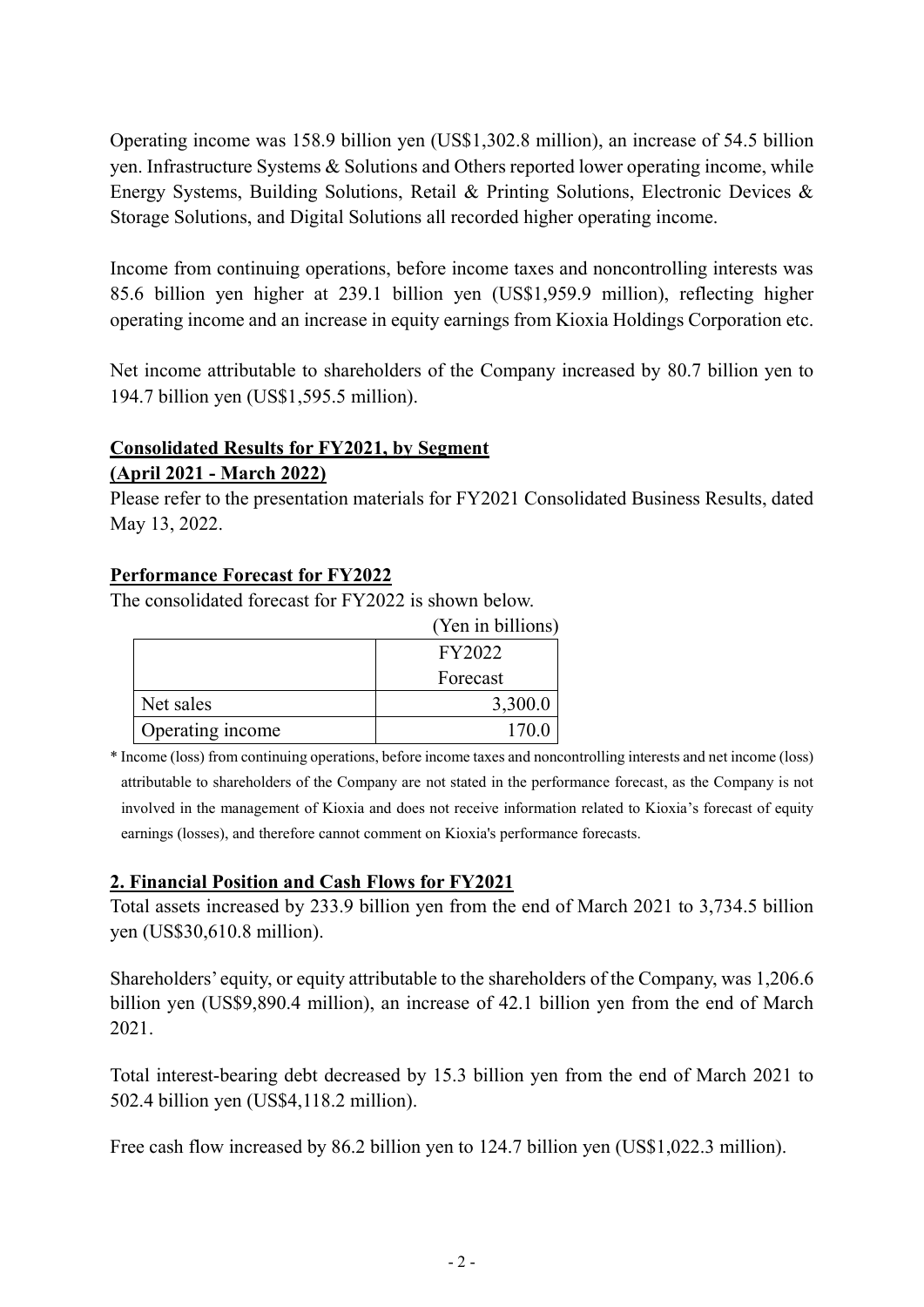Operating income was 158.9 billion yen (US\$1,302.8 million), an increase of 54.5 billion yen. Infrastructure Systems & Solutions and Others reported lower operating income, while Energy Systems, Building Solutions, Retail & Printing Solutions, Electronic Devices & Storage Solutions, and Digital Solutions all recorded higher operating income.

Income from continuing operations, before income taxes and noncontrolling interests was 85.6 billion yen higher at 239.1 billion yen (US\$1,959.9 million), reflecting higher operating income and an increase in equity earnings from Kioxia Holdings Corporation etc.

Net income attributable to shareholders of the Company increased by 80.7 billion yen to 194.7 billion yen (US\$1,595.5 million).

# **Consolidated Results for FY2021, by Segment**

**(April 2021 - March 2022)**

Please refer to the presentation materials for FY2021 Consolidated Business Results, dated May 13, 2022.

### **Performance Forecast for FY2022**

The consolidated forecast for FY2022 is shown below.

|                  | (Yen in billions) |
|------------------|-------------------|
|                  | FY2022            |
|                  | Forecast          |
| Net sales        | 3,300.0           |
| Operating income | 170.0             |

\* Income (loss) from continuing operations, before income taxes and noncontrolling interests and net income (loss) attributable to shareholders of the Company are not stated in the performance forecast, as the Company is not involved in the management of Kioxia and does not receive information related to Kioxia's forecast of equity earnings (losses), and therefore cannot comment on Kioxia's performance forecasts.

### **2. Financial Position and Cash Flows for FY2021**

Total assets increased by 233.9 billion yen from the end of March 2021 to 3,734.5 billion yen (US\$30,610.8 million).

Shareholders' equity, or equity attributable to the shareholders of the Company, was 1,206.6 billion yen (US\$9,890.4 million), an increase of 42.1 billion yen from the end of March 2021.

Total interest-bearing debt decreased by 15.3 billion yen from the end of March 2021 to 502.4 billion yen (US\$4,118.2 million).

Free cash flow increased by 86.2 billion yen to 124.7 billion yen (US\$1,022.3 million).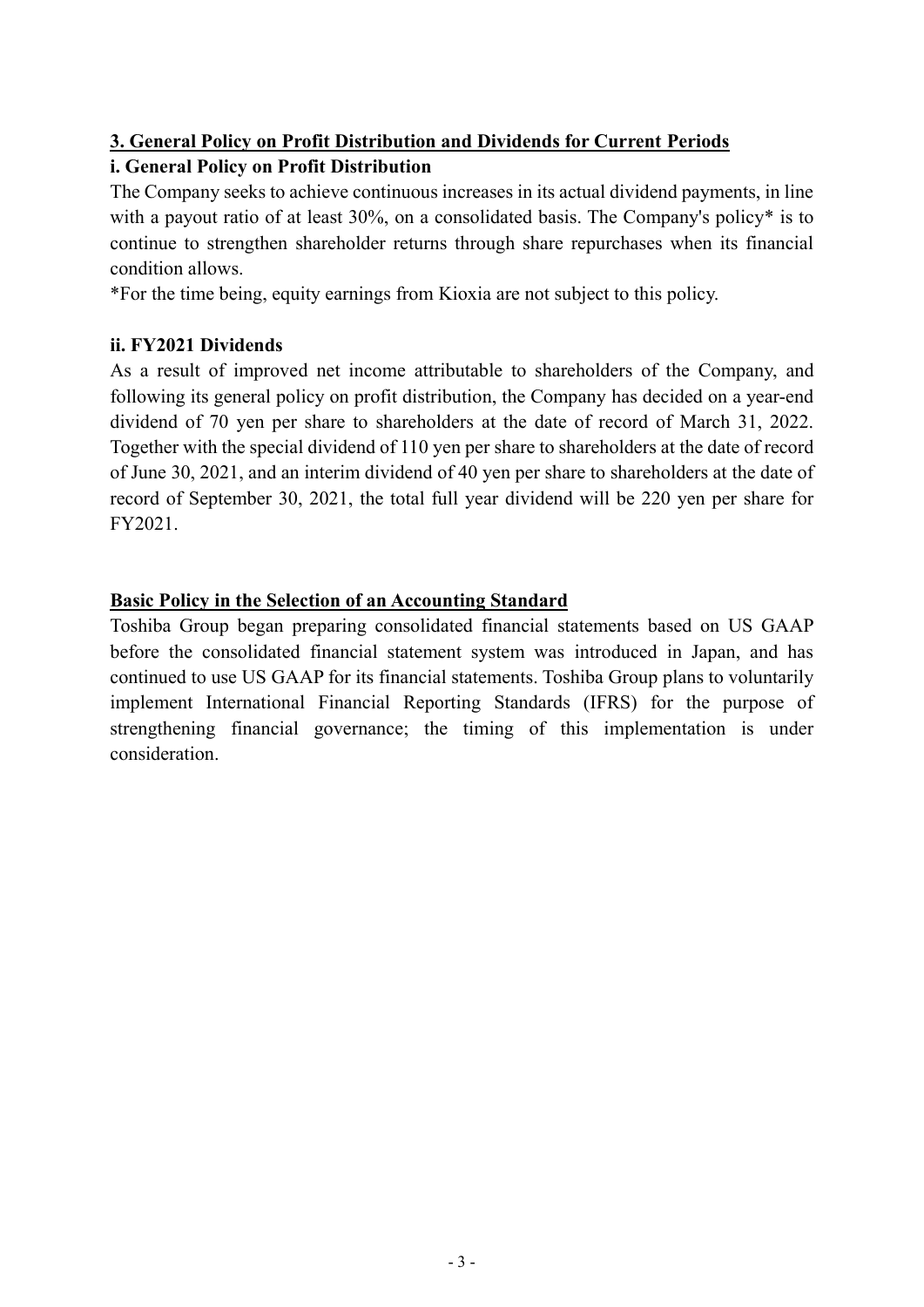# **3. General Policy on Profit Distribution and Dividends for Current Periods**

# **i. General Policy on Profit Distribution**

The Company seeks to achieve continuous increases in its actual dividend payments, in line with a payout ratio of at least 30%, on a consolidated basis. The Company's policy<sup>\*</sup> is to continue to strengthen shareholder returns through share repurchases when its financial condition allows.

\*For the time being, equity earnings from Kioxia are not subject to this policy.

## **ii. FY2021 Dividends**

As a result of improved net income attributable to shareholders of the Company, and following its general policy on profit distribution, the Company has decided on a year-end dividend of 70 yen per share to shareholders at the date of record of March 31, 2022. Together with the special dividend of 110 yen per share to shareholders at the date of record of June 30, 2021, and an interim dividend of 40 yen per share to shareholders at the date of record of September 30, 2021, the total full year dividend will be 220 yen per share for FY2021.

## **Basic Policy in the Selection of an Accounting Standard**

Toshiba Group began preparing consolidated financial statements based on US GAAP before the consolidated financial statement system was introduced in Japan, and has continued to use US GAAP for its financial statements. Toshiba Group plans to voluntarily implement International Financial Reporting Standards (IFRS) for the purpose of strengthening financial governance; the timing of this implementation is under consideration.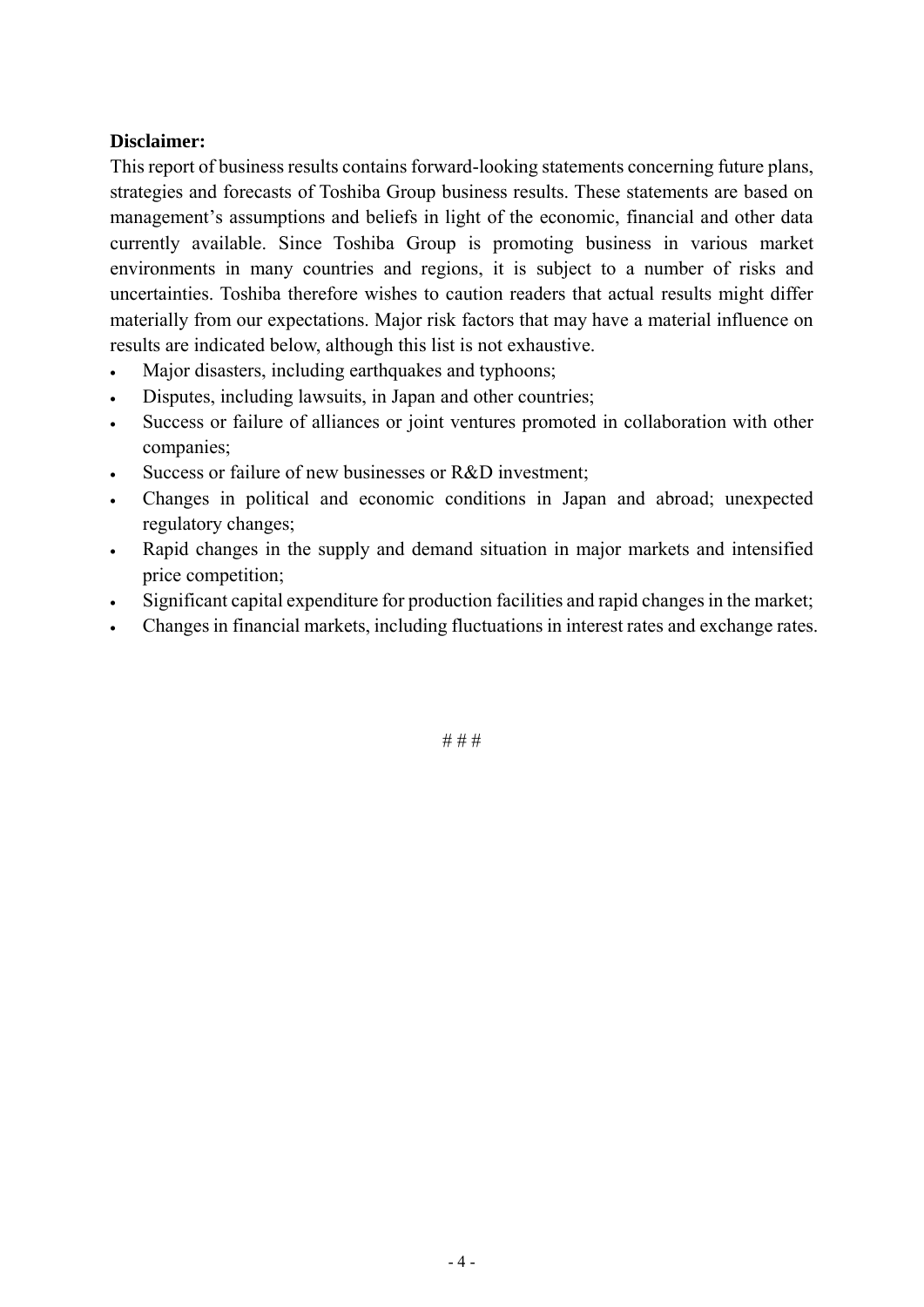#### **Disclaimer:**

This report of business results contains forward-looking statements concerning future plans, strategies and forecasts of Toshiba Group business results. These statements are based on management's assumptions and beliefs in light of the economic, financial and other data currently available. Since Toshiba Group is promoting business in various market environments in many countries and regions, it is subject to a number of risks and uncertainties. Toshiba therefore wishes to caution readers that actual results might differ materially from our expectations. Major risk factors that may have a material influence on results are indicated below, although this list is not exhaustive.

- Major disasters, including earthquakes and typhoons;
- Disputes, including lawsuits, in Japan and other countries;
- Success or failure of alliances or joint ventures promoted in collaboration with other companies;
- Success or failure of new businesses or R&D investment;
- Changes in political and economic conditions in Japan and abroad; unexpected regulatory changes;
- Rapid changes in the supply and demand situation in major markets and intensified price competition;
- Significant capital expenditure for production facilities and rapid changes in the market;
- Changes in financial markets, including fluctuations in interest rates and exchange rates.

# # #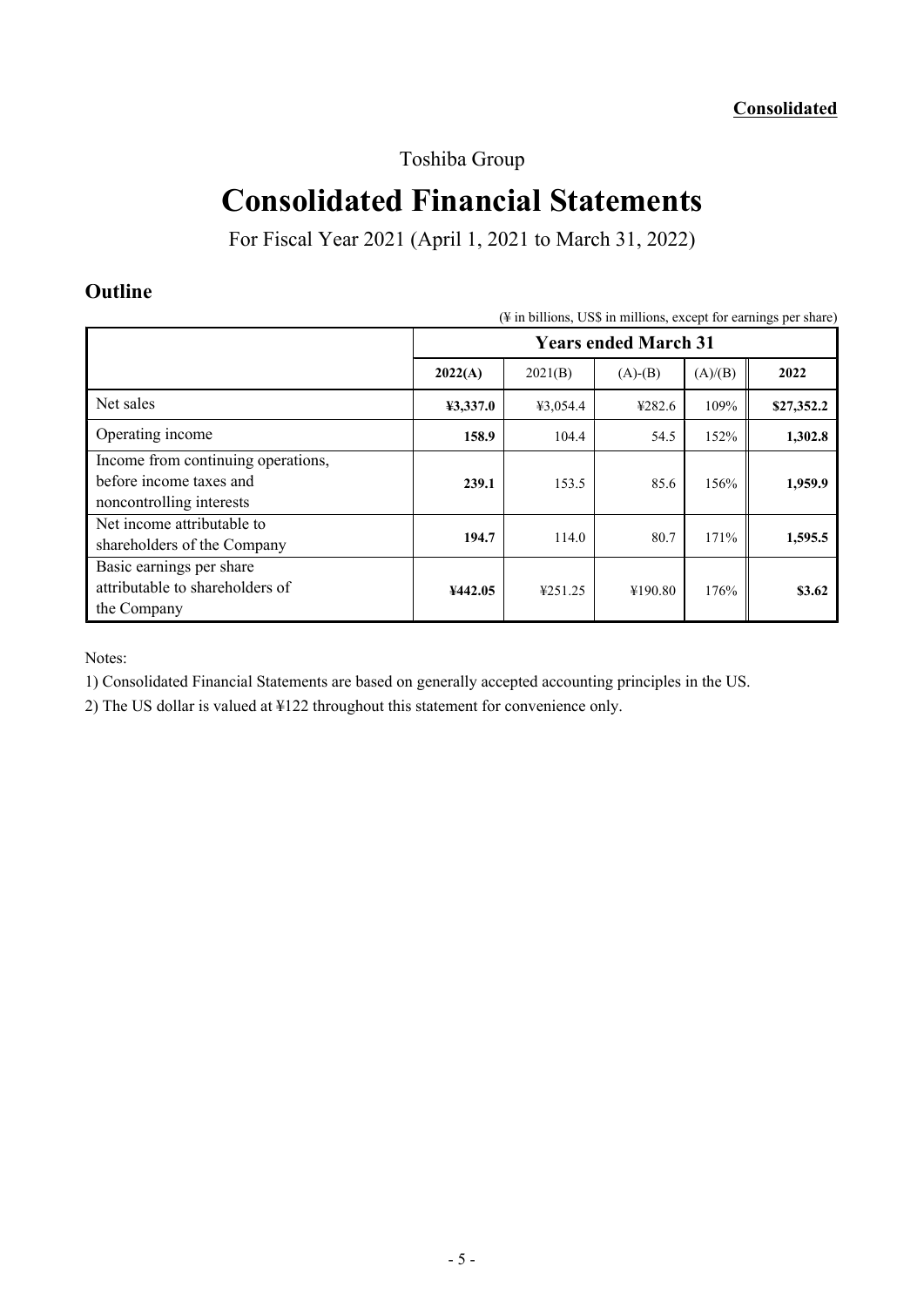Toshiba Group

# **Consolidated Financial Statements**

For Fiscal Year 2021 (April 1, 2021 to March 31, 2022)

# **Outline**

| $(\frac{1}{2})$ in billions, US\$ in millions, except for earnings per share)             |                             |          |           |         |            |  |  |
|-------------------------------------------------------------------------------------------|-----------------------------|----------|-----------|---------|------------|--|--|
|                                                                                           | <b>Years ended March 31</b> |          |           |         |            |  |  |
|                                                                                           | 2022(A)                     | 2021(B)  | $(A)-(B)$ | (A)/(B) | 2022       |  |  |
| Net sales                                                                                 | 43,337.0                    | ¥3,054.4 | 4282.6    | 109%    | \$27,352.2 |  |  |
| Operating income                                                                          | 158.9                       | 104.4    | 54.5      | 152%    | 1,302.8    |  |  |
| Income from continuing operations,<br>before income taxes and<br>noncontrolling interests | 239.1                       | 153.5    | 85.6      | 156%    | 1,959.9    |  |  |
| Net income attributable to<br>shareholders of the Company                                 | 194.7                       | 114.0    | 80.7      | 171%    | 1,595.5    |  |  |
| Basic earnings per share<br>attributable to shareholders of<br>the Company                | ¥442.05                     | ¥251.25  | ¥190.80   | 176%    | \$3.62     |  |  |

Notes:

1) Consolidated Financial Statements are based on generally accepted accounting principles in the US.

2) The US dollar is valued at ¥122 throughout this statement for convenience only.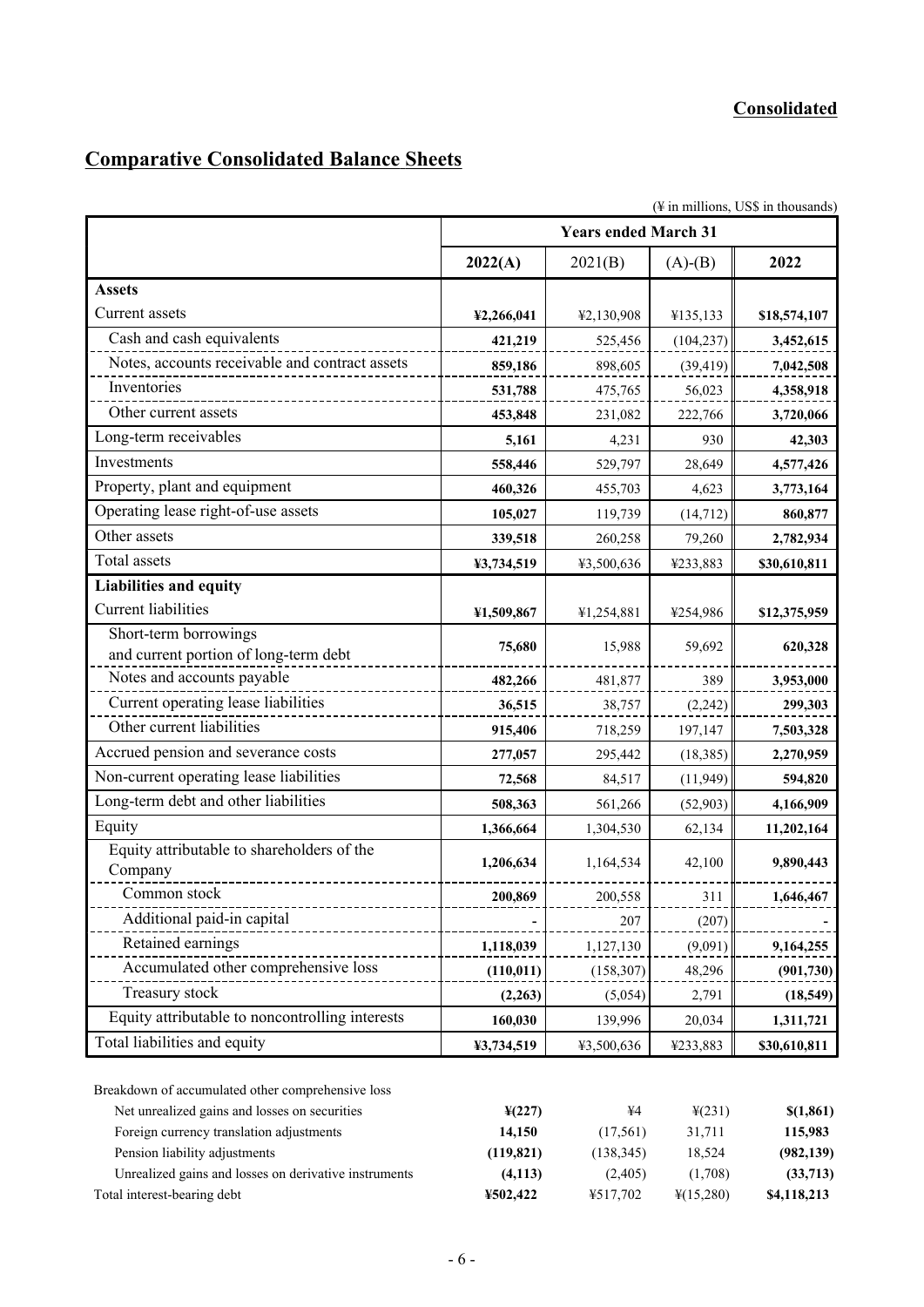# **Comparative Consolidated Balance Sheets**

|                                                                                                    |            | <b>Years ended March 31</b> |                    | (¥ in millions, US\$ in thousands) |
|----------------------------------------------------------------------------------------------------|------------|-----------------------------|--------------------|------------------------------------|
|                                                                                                    |            |                             |                    |                                    |
|                                                                                                    | 2022(A)    | 2021(B)                     | $(A)-(B)$          | 2022                               |
| <b>Assets</b>                                                                                      |            |                             |                    |                                    |
| Current assets                                                                                     | ¥2,266,041 | ¥2,130,908                  | ¥135,133           | \$18,574,107                       |
| Cash and cash equivalents                                                                          | 421,219    | 525,456                     | (104, 237)         | 3,452,615                          |
| Notes, accounts receivable and contract assets                                                     | 859,186    | 898,605                     | (39, 419)          | 7,042,508                          |
| Inventories                                                                                        | 531,788    | 475,765                     | 56,023             | 4,358,918                          |
| Other current assets                                                                               | 453,848    | 231,082                     | 222,766            | 3,720,066                          |
| Long-term receivables                                                                              | 5,161      | 4,231                       | 930                | 42,303                             |
| Investments                                                                                        | 558,446    | 529,797                     | 28,649             | 4,577,426                          |
| Property, plant and equipment                                                                      | 460,326    | 455,703                     | 4,623              | 3,773,164                          |
| Operating lease right-of-use assets                                                                | 105,027    | 119,739                     | (14, 712)          | 860,877                            |
| Other assets                                                                                       | 339,518    | 260,258                     | 79,260             | 2,782,934                          |
| Total assets                                                                                       | ¥3,734,519 | ¥3,500,636                  | ¥233,883           | \$30,610,811                       |
| <b>Liabilities and equity</b>                                                                      |            |                             |                    |                                    |
| <b>Current liabilities</b>                                                                         | ¥1,509,867 | ¥1,254,881                  | ¥254,986           | \$12,375,959                       |
| Short-term borrowings                                                                              |            |                             |                    |                                    |
| and current portion of long-term debt                                                              | 75,680     | 15,988                      | 59,692             | 620,328                            |
| Notes and accounts payable                                                                         | 482,266    | 481,877                     | 389                | 3,953,000                          |
| Current operating lease liabilities                                                                | 36,515     | 38,757                      | (2,242)            | 299,303                            |
| Other current liabilities                                                                          | 915,406    | 718,259                     | 197,147            | 7,503,328                          |
| Accrued pension and severance costs                                                                | 277,057    | 295,442                     | (18, 385)          | 2,270,959                          |
| Non-current operating lease liabilities                                                            | 72,568     | 84,517                      | (11, 949)          | 594,820                            |
| Long-term debt and other liabilities                                                               | 508,363    | 561,266                     | (52,903)           | 4,166,909                          |
| Equity                                                                                             | 1,366,664  | 1,304,530                   | 62,134             | 11,202,164                         |
| Equity attributable to shareholders of the<br>Company                                              | 1,206,634  | 1,164,534                   | 42,100             | 9,890,443                          |
| Common stock                                                                                       | 200,869    | 200,558                     | 311                | 1,646,467                          |
| Additional paid-in capital                                                                         |            | 207                         | (207)              |                                    |
| Retained earnings                                                                                  | 1,118,039  | 1,127,130                   | (9,091)            | 9,164,255                          |
| Accumulated other comprehensive loss                                                               | (110, 011) | (158, 307)                  | 48,296             | (901, 730)                         |
| Treasury stock                                                                                     | (2,263)    | (5,054)                     | 2,791              | (18, 549)                          |
| Equity attributable to noncontrolling interests                                                    | 160,030    | 139,996                     | 20,034             | 1,311,721                          |
| Total liabilities and equity                                                                       | ¥3,734,519 | ¥3,500,636                  | ¥233,883           | \$30,610,811                       |
| Breakdown of accumulated other comprehensive loss<br>Net unrealized gains and losses on securities | 4(227)     | ¥4                          | $\frac{1}{2}(231)$ | \$(1.861)                          |

| Net unrealized gains and losses on securities         | $\frac{1}{2}(227)$ | ¥4         | $\frac{1}{2}(231)$    | \$(1,861)   |
|-------------------------------------------------------|--------------------|------------|-----------------------|-------------|
| Foreign currency translation adjustments              | 14.150             | (17.561)   | 31.711                | 115,983     |
| Pension liability adjustments                         | (119, 821)         | (138, 345) | 18.524                | (982, 139)  |
| Unrealized gains and losses on derivative instruments | (4,113)            | (2,405)    | (1.708)               | (33,713)    |
| Total interest-bearing debt                           | ¥502.422           | ¥517.702   | $\frac{1}{2}(15,280)$ | \$4,118,213 |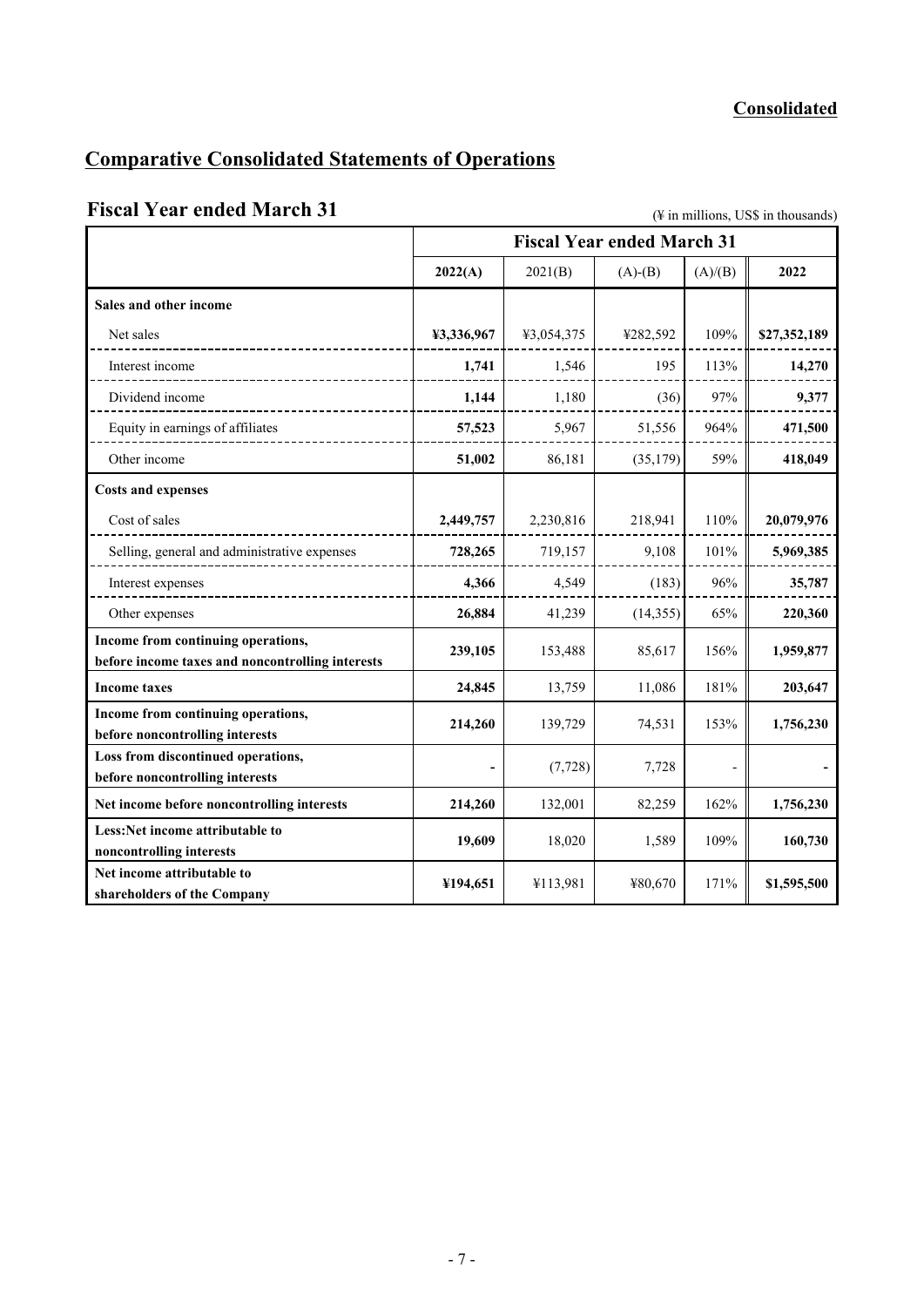# **Comparative Consolidated Statements of Operations**

# Fiscal Year ended March 31 (\times\) (\times\) \times\) (\times\) \times\) \times\) (\times\) \times\) \times\) \times\) \times\) \times\) \times\) \times\) \times\) \times\) \times\) \times\) \times\) \times\) \times\) \t

|                                                                                        |            |            | <b>Fiscal Year ended March 31</b> |         |              |
|----------------------------------------------------------------------------------------|------------|------------|-----------------------------------|---------|--------------|
|                                                                                        | 2022(A)    | 2021(B)    | $(A)-(B)$                         | (A)/(B) | 2022         |
| Sales and other income                                                                 |            |            |                                   |         |              |
| Net sales                                                                              | ¥3,336,967 | ¥3,054,375 | ¥282,592                          | 109%    | \$27,352,189 |
| Interest income                                                                        | 1,741      | 1,546      | 195                               | 113%    | 14,270       |
| Dividend income                                                                        | 1,144      | 1,180      | (36)                              | 97%     | 9,377        |
| Equity in earnings of affiliates                                                       | 57,523     | 5,967      | 51,556                            | 964%    | 471,500      |
| Other income                                                                           | 51,002     | 86,181     | (35, 179)                         | 59%     | 418,049      |
| <b>Costs and expenses</b>                                                              |            |            |                                   |         |              |
| Cost of sales                                                                          | 2,449,757  | 2,230,816  | 218,941                           | 110%    | 20,079,976   |
| Selling, general and administrative expenses                                           | 728,265    | 719,157    | 9,108                             | 101%    | 5,969,385    |
| Interest expenses                                                                      | 4,366      | 4,549      | (183)                             | 96%     | 35,787       |
| Other expenses                                                                         | 26,884     | 41,239     | (14, 355)                         | 65%     | 220,360      |
| Income from continuing operations,<br>before income taxes and noncontrolling interests | 239,105    | 153,488    | 85,617                            | 156%    | 1,959,877    |
| <b>Income taxes</b>                                                                    | 24,845     | 13,759     | 11,086                            | 181%    | 203,647      |
| Income from continuing operations,<br>before noncontrolling interests                  | 214,260    | 139,729    | 74,531                            | 153%    | 1,756,230    |
| Loss from discontinued operations,<br>before noncontrolling interests                  |            | (7, 728)   | 7,728                             |         |              |
| Net income before noncontrolling interests                                             | 214,260    | 132,001    | 82,259                            | 162%    | 1,756,230    |
| Less:Net income attributable to<br>noncontrolling interests                            | 19,609     | 18,020     | 1,589                             | 109%    | 160,730      |
| Net income attributable to<br>shareholders of the Company                              | ¥194,651   | ¥113,981   | ¥80,670                           | 171%    | \$1,595,500  |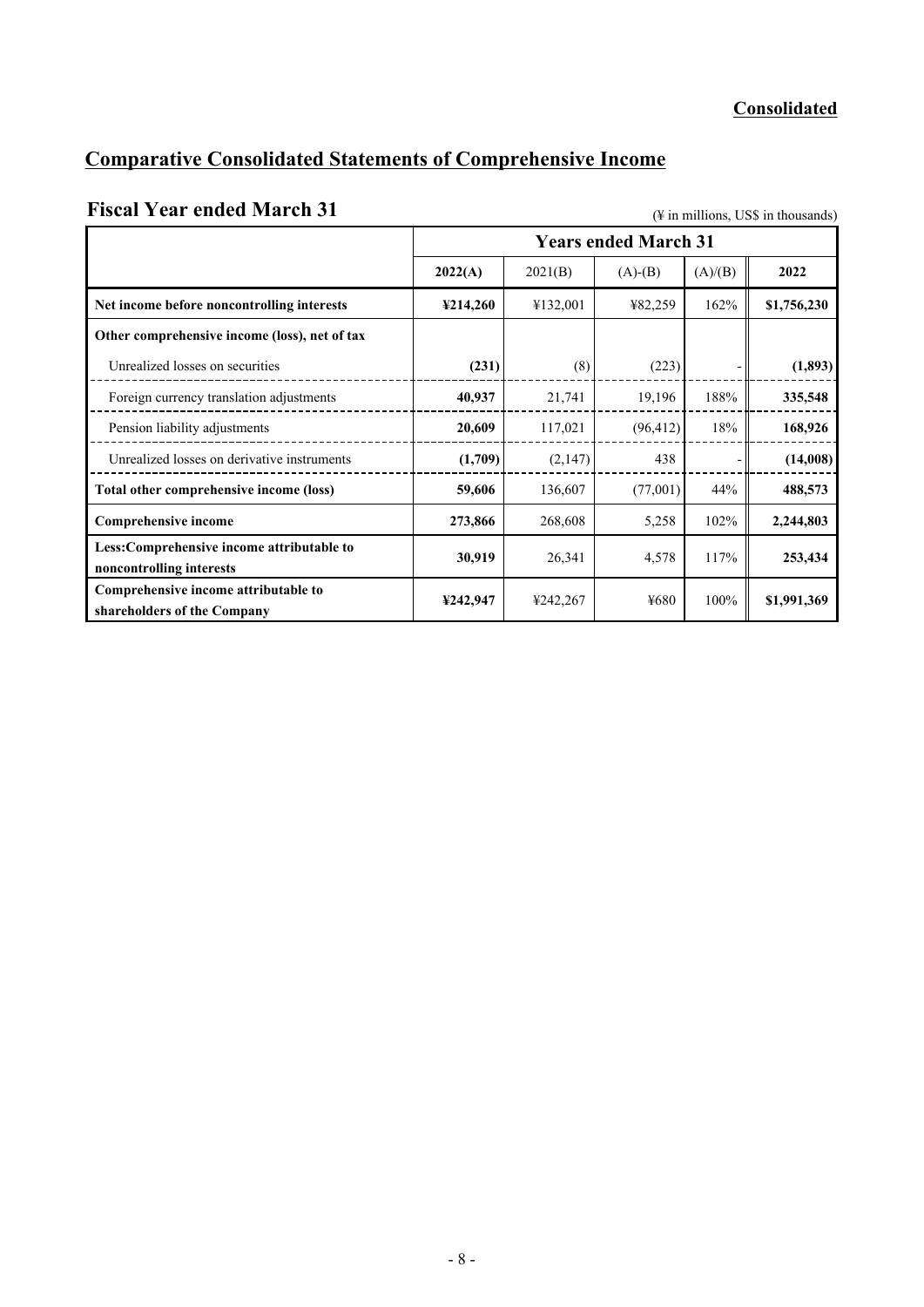# **Comparative Consolidated Statements of Comprehensive Income**

# **Fiscal Year ended March 31** (\) (\)  $\frac{4}{3}$  in millions, US\$ in thousands)

|                                                                       | <b>Years ended March 31</b> |          |           |         |             |  |  |
|-----------------------------------------------------------------------|-----------------------------|----------|-----------|---------|-------------|--|--|
|                                                                       | 2022(A)                     | 2021(B)  | $(A)-(B)$ | (A)/(B) | 2022        |  |  |
| Net income before noncontrolling interests                            | ¥214,260                    | ¥132,001 | ¥82,259   | 162%    | \$1,756,230 |  |  |
| Other comprehensive income (loss), net of tax                         |                             |          |           |         |             |  |  |
| Unrealized losses on securities                                       | (231)                       | (8)      | (223)     |         | (1,893)     |  |  |
| Foreign currency translation adjustments                              | 40,937                      | 21,741   | 19,196    | 188%    | 335,548     |  |  |
| Pension liability adjustments                                         | 20,609                      | 117,021  | (96, 412) | 18%     | 168,926     |  |  |
| Unrealized losses on derivative instruments                           | (1,709)                     | (2,147)  | 438       |         | (14,008)    |  |  |
| Total other comprehensive income (loss)                               | 59,606                      | 136,607  | (77,001)  | 44%     | 488,573     |  |  |
| <b>Comprehensive income</b>                                           | 273,866                     | 268,608  | 5,258     | 102%    | 2,244,803   |  |  |
| Less:Comprehensive income attributable to<br>noncontrolling interests | 30,919                      | 26,341   | 4,578     | 117%    | 253,434     |  |  |
| Comprehensive income attributable to<br>shareholders of the Company   | ¥242,947                    | ¥242,267 | ¥680      | 100%    | \$1,991,369 |  |  |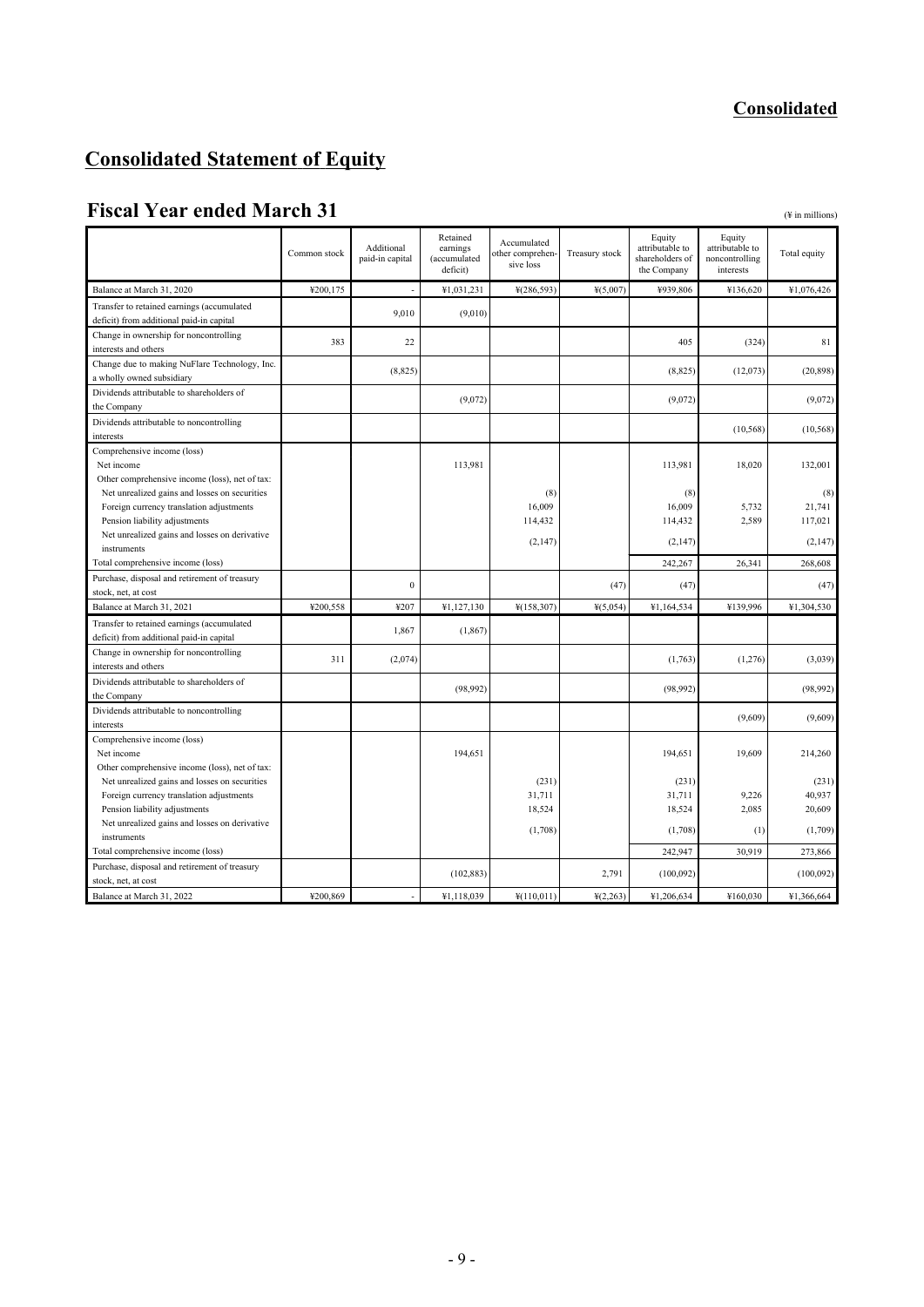# **Consolidated Statement of Equity**

# **Fiscal Year ended March 31** ( $\#$  in millions)

|                                                                      | Common stock | Additional<br>paid-in capital | Retained<br>earnings<br>(accumulated<br>deficit) | Accumulated<br>other comprehen-<br>sive loss | Treasury stock | Equity<br>attributable to<br>shareholders of<br>the Company | Equity<br>attributable to<br>noncontrolling<br>interests | Total equity |
|----------------------------------------------------------------------|--------------|-------------------------------|--------------------------------------------------|----------------------------------------------|----------------|-------------------------------------------------------------|----------------------------------------------------------|--------------|
| Balance at March 31, 2020                                            | ¥200,175     | $\overline{a}$                | ¥1,031,231                                       | ¥(286,593)                                   | $*(5,007)$     | ¥939,806                                                    | ¥136,620                                                 | ¥1,076,426   |
| Transfer to retained earnings (accumulated                           |              | 9.010                         |                                                  |                                              |                |                                                             |                                                          |              |
| deficit) from additional paid-in capital                             |              |                               | (9,010)                                          |                                              |                |                                                             |                                                          |              |
| Change in ownership for noncontrolling                               | 383          | 22                            |                                                  |                                              |                | 405                                                         | (324)                                                    | 81           |
| interests and others                                                 |              |                               |                                                  |                                              |                |                                                             |                                                          |              |
| Change due to making NuFlare Technology, Inc.                        |              | (8, 825)                      |                                                  |                                              |                | (8, 825)                                                    | (12,073)                                                 | (20, 898)    |
| a wholly owned subsidiary                                            |              |                               |                                                  |                                              |                |                                                             |                                                          |              |
| Dividends attributable to shareholders of                            |              |                               | (9,072)                                          |                                              |                | (9,072)                                                     |                                                          | (9,072)      |
| the Company                                                          |              |                               |                                                  |                                              |                |                                                             |                                                          |              |
| Dividends attributable to noncontrolling                             |              |                               |                                                  |                                              |                |                                                             | (10, 568)                                                | (10, 568)    |
| interests                                                            |              |                               |                                                  |                                              |                |                                                             |                                                          |              |
| Comprehensive income (loss)                                          |              |                               |                                                  |                                              |                |                                                             |                                                          |              |
| Net income                                                           |              |                               | 113,981                                          |                                              |                | 113,981                                                     | 18,020                                                   | 132,001      |
| Other comprehensive income (loss), net of tax:                       |              |                               |                                                  |                                              |                |                                                             |                                                          |              |
| Net unrealized gains and losses on securities                        |              |                               |                                                  | (8)                                          |                | (8)                                                         |                                                          | (8)          |
| Foreign currency translation adjustments                             |              |                               |                                                  | 16,009                                       |                | 16,009                                                      | 5,732                                                    | 21,741       |
| Pension liability adjustments                                        |              |                               |                                                  | 114,432                                      |                | 114,432                                                     | 2,589                                                    | 117,021      |
| Net unrealized gains and losses on derivative                        |              |                               |                                                  | (2,147)                                      |                | (2,147)                                                     |                                                          | (2, 147)     |
| instruments<br>Total comprehensive income (loss)                     |              |                               |                                                  |                                              |                | 242,267                                                     | 26,341                                                   | 268,608      |
|                                                                      |              |                               |                                                  |                                              |                |                                                             |                                                          |              |
| Purchase, disposal and retirement of treasury<br>stock, net, at cost |              | $\mathbf{0}$                  |                                                  |                                              | (47)           | (47)                                                        |                                                          | (47)         |
| Balance at March 31, 2021                                            | ¥200,558     | ¥207                          | ¥1,127,130                                       | ¥(158,307)                                   | $*(5,054)$     | ¥1,164,534                                                  | ¥139,996                                                 | ¥1,304,530   |
| Transfer to retained earnings (accumulated                           |              |                               |                                                  |                                              |                |                                                             |                                                          |              |
| deficit) from additional paid-in capital                             |              | 1,867                         | (1, 867)                                         |                                              |                |                                                             |                                                          |              |
| Change in ownership for noncontrolling                               |              |                               |                                                  |                                              |                |                                                             |                                                          |              |
| interests and others                                                 | 311          | (2,074)                       |                                                  |                                              |                | (1,763)                                                     | (1,276)                                                  | (3,039)      |
| Dividends attributable to shareholders of                            |              |                               |                                                  |                                              |                |                                                             |                                                          |              |
| the Company                                                          |              |                               | (98, 992)                                        |                                              |                | (98, 992)                                                   |                                                          | (98, 992)    |
| Dividends attributable to noncontrolling                             |              |                               |                                                  |                                              |                |                                                             |                                                          |              |
| interests                                                            |              |                               |                                                  |                                              |                |                                                             | (9,609)                                                  | (9,609)      |
| Comprehensive income (loss)                                          |              |                               |                                                  |                                              |                |                                                             |                                                          |              |
| Net income                                                           |              |                               | 194,651                                          |                                              |                | 194,651                                                     | 19,609                                                   | 214,260      |
| Other comprehensive income (loss), net of tax:                       |              |                               |                                                  |                                              |                |                                                             |                                                          |              |
| Net unrealized gains and losses on securities                        |              |                               |                                                  | (231)                                        |                | (231)                                                       |                                                          | (231)        |
| Foreign currency translation adjustments                             |              |                               |                                                  | 31,711                                       |                | 31,711                                                      | 9,226                                                    | 40,937       |
| Pension liability adjustments                                        |              |                               |                                                  | 18,524                                       |                | 18,524                                                      | 2,085                                                    | 20,609       |
| Net unrealized gains and losses on derivative                        |              |                               |                                                  | (1,708)                                      |                | (1,708)                                                     | (1)                                                      | (1,709)      |
| instruments                                                          |              |                               |                                                  |                                              |                |                                                             |                                                          |              |
| Total comprehensive income (loss)                                    |              |                               |                                                  |                                              |                | 242,947                                                     | 30,919                                                   | 273,866      |
| Purchase, disposal and retirement of treasury                        |              |                               | (102, 883)                                       |                                              | 2,791          | (100,092)                                                   |                                                          | (100,092)    |
| stock, net, at cost                                                  |              |                               |                                                  |                                              |                |                                                             |                                                          |              |
| Balance at March 31, 2022                                            | ¥200,869     |                               | ¥1,118,039                                       | ¥(110,011)                                   | 4(2,263)       | ¥1,206,634                                                  | ¥160,030                                                 | ¥1,366,664   |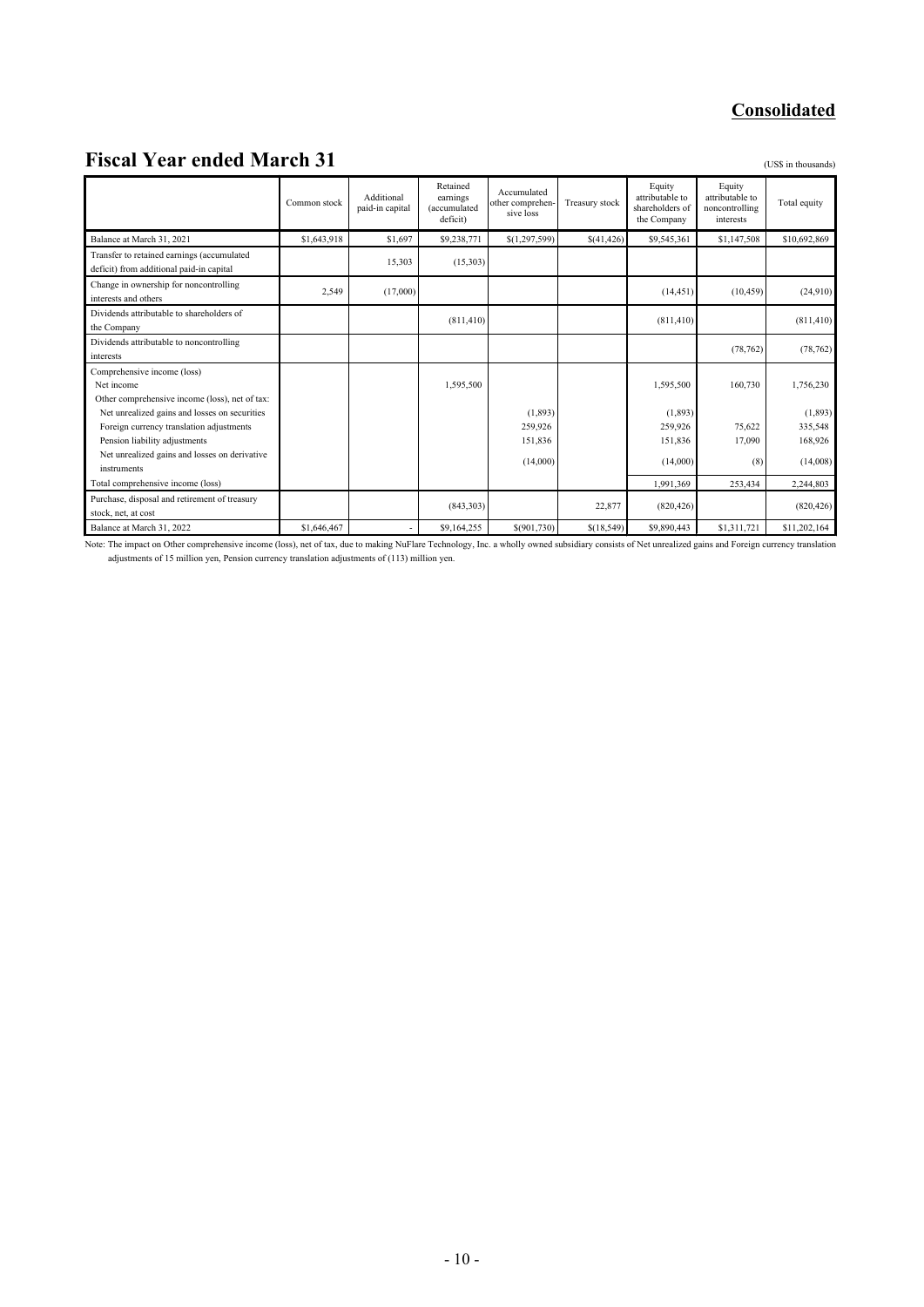# **Fiscal Year ended March 31** (US\$ in thousands)

|                                                                                        | Common stock | Additional<br>paid-in capital | Retained<br>earnings<br>(accumulated<br>deficit) | Accumulated<br>other comprehen-<br>sive loss | Treasury stock | Equity<br>attributable to<br>shareholders of<br>the Company | Equity<br>attributable to<br>noncontrolling<br>interests | Total equity       |
|----------------------------------------------------------------------------------------|--------------|-------------------------------|--------------------------------------------------|----------------------------------------------|----------------|-------------------------------------------------------------|----------------------------------------------------------|--------------------|
| Balance at March 31, 2021                                                              | \$1,643,918  | \$1,697                       | \$9,238,771                                      | \$(1,297,599)                                | \$(41,426)     | \$9,545,361                                                 | \$1,147,508                                              | \$10,692,869       |
| Transfer to retained earnings (accumulated<br>deficit) from additional paid-in capital |              | 15,303                        | (15,303)                                         |                                              |                |                                                             |                                                          |                    |
| Change in ownership for noncontrolling<br>interests and others                         | 2,549        | (17,000)                      |                                                  |                                              |                | (14, 451)                                                   | (10, 459)                                                | (24,910)           |
| Dividends attributable to shareholders of<br>the Company                               |              |                               | (811, 410)                                       |                                              |                | (811, 410)                                                  |                                                          | (811, 410)         |
| Dividends attributable to noncontrolling<br>interests                                  |              |                               |                                                  |                                              |                |                                                             | (78, 762)                                                | (78, 762)          |
| Comprehensive income (loss)                                                            |              |                               |                                                  |                                              |                |                                                             |                                                          |                    |
| Net income                                                                             |              |                               | 1,595,500                                        |                                              |                | 1,595,500                                                   | 160,730                                                  | 1,756,230          |
| Other comprehensive income (loss), net of tax:                                         |              |                               |                                                  |                                              |                |                                                             |                                                          |                    |
| Net unrealized gains and losses on securities                                          |              |                               |                                                  | (1,893)<br>259,926                           |                | (1,893)<br>259,926                                          | 75,622                                                   | (1,893)<br>335,548 |
| Foreign currency translation adjustments<br>Pension liability adjustments              |              |                               |                                                  | 151,836                                      |                | 151,836                                                     | 17,090                                                   | 168,926            |
| Net unrealized gains and losses on derivative<br>instruments                           |              |                               |                                                  | (14,000)                                     |                | (14,000)                                                    | (8)                                                      | (14,008)           |
| Total comprehensive income (loss)                                                      |              |                               |                                                  |                                              |                | 1,991,369                                                   | 253,434                                                  | 2,244,803          |
| Purchase, disposal and retirement of treasury<br>stock, net, at cost                   |              |                               | (843,303)                                        |                                              | 22,877         | (820, 426)                                                  |                                                          | (820, 426)         |
| Balance at March 31, 2022                                                              | \$1,646,467  | ٠                             | \$9,164,255                                      | \$(901,730)                                  | \$(18,549)     | \$9,890,443                                                 | \$1,311,721                                              | \$11,202,164       |

Note: The impact on Other comprehensive income (loss), net of tax, due to making NuFlare Technology, Inc. a wholly owned subsidiary consists of Net unrealized gains and Foreign currency translation adjustments of 15 million yen, Pension currency translation adjustments of (113) million yen.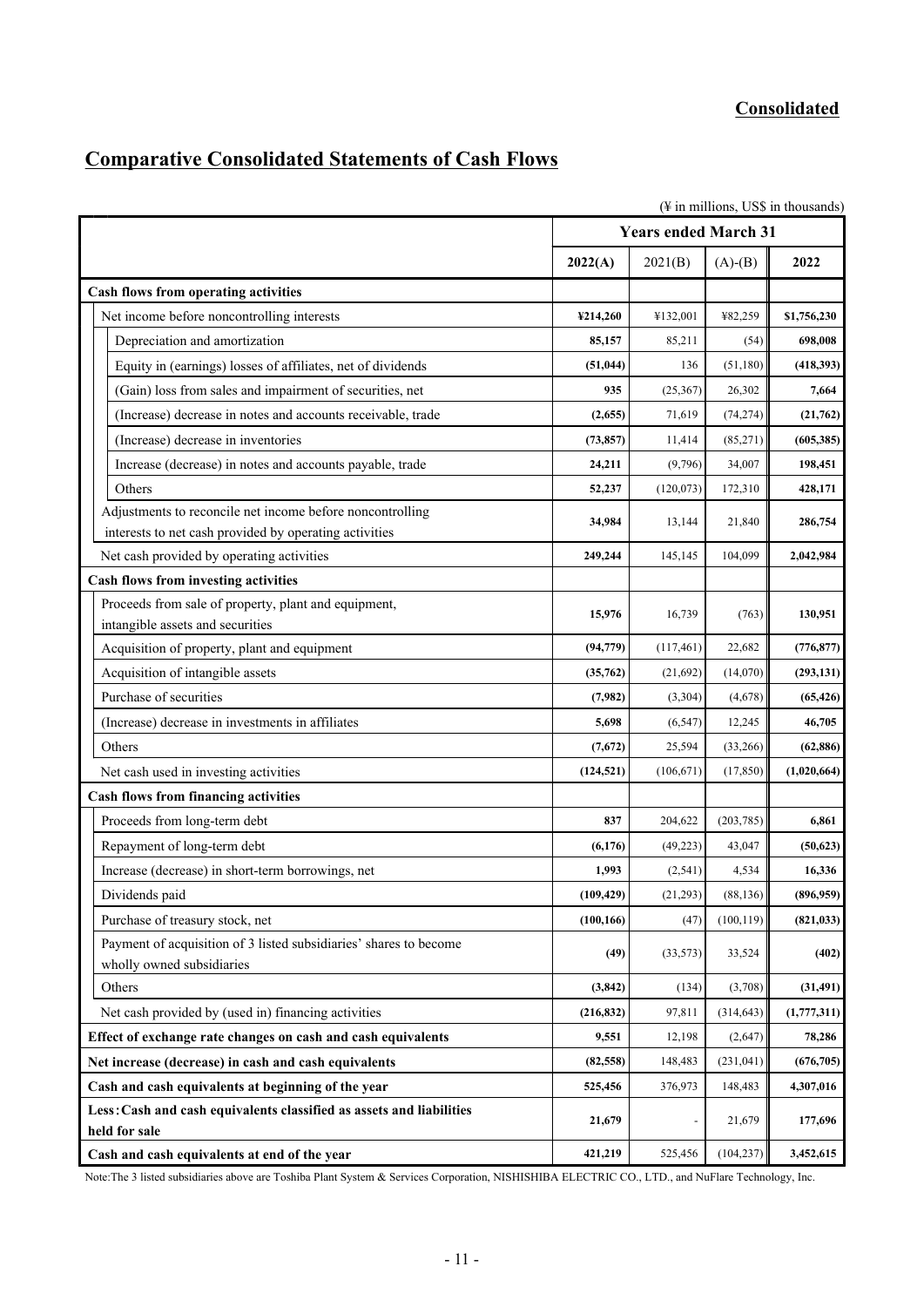# **Comparative Consolidated Statements of Cash Flows**

| (¥ in millions, US\$ in thousands)                                                                  |            |                             |            |             |  |
|-----------------------------------------------------------------------------------------------------|------------|-----------------------------|------------|-------------|--|
|                                                                                                     |            | <b>Years ended March 31</b> |            |             |  |
|                                                                                                     | 2022(A)    | 2021(B)                     | $(A)-(B)$  | 2022        |  |
| <b>Cash flows from operating activities</b>                                                         |            |                             |            |             |  |
| Net income before noncontrolling interests                                                          | ¥214,260   | ¥132,001                    | ¥82,259    | \$1,756,230 |  |
| Depreciation and amortization                                                                       | 85,157     | 85,211                      | (54)       | 698,008     |  |
| Equity in (earnings) losses of affiliates, net of dividends                                         | (51, 044)  | 136                         | (51,180)   | (418,393)   |  |
| (Gain) loss from sales and impairment of securities, net                                            | 935        | (25,367)                    | 26,302     | 7,664       |  |
| (Increase) decrease in notes and accounts receivable, trade                                         | (2,655)    | 71,619                      | (74, 274)  | (21,762)    |  |
| (Increase) decrease in inventories                                                                  | (73, 857)  | 11,414                      | (85,271)   | (605, 385)  |  |
| Increase (decrease) in notes and accounts payable, trade                                            | 24,211     | (9,796)                     | 34,007     | 198,451     |  |
| Others                                                                                              | 52,237     | (120,073)                   | 172,310    | 428,171     |  |
| Adjustments to reconcile net income before noncontrolling                                           | 34,984     | 13,144                      | 21,840     | 286,754     |  |
| interests to net cash provided by operating activities<br>Net cash provided by operating activities | 249,244    | 145,145                     | 104,099    | 2,042,984   |  |
| <b>Cash flows from investing activities</b>                                                         |            |                             |            |             |  |
| Proceeds from sale of property, plant and equipment,                                                |            |                             |            |             |  |
| intangible assets and securities                                                                    | 15,976     | 16,739                      | (763)      | 130,951     |  |
| Acquisition of property, plant and equipment                                                        | (94, 779)  | (117, 461)                  | 22,682     | (776, 877)  |  |
| Acquisition of intangible assets                                                                    | (35,762)   | (21,692)                    | (14,070)   | (293, 131)  |  |
| Purchase of securities                                                                              | (7,982)    | (3,304)                     | (4,678)    | (65, 426)   |  |
| (Increase) decrease in investments in affiliates                                                    | 5,698      | (6, 547)                    | 12,245     | 46,705      |  |
| Others                                                                                              | (7,672)    | 25,594                      | (33,266)   | (62, 886)   |  |
| Net cash used in investing activities                                                               | (124, 521) | (106, 671)                  | (17, 850)  | (1,020,664) |  |
| <b>Cash flows from financing activities</b>                                                         |            |                             |            |             |  |
| Proceeds from long-term debt                                                                        | 837        | 204,622                     | (203, 785) | 6,861       |  |
| Repayment of long-term debt                                                                         | (6,176)    | (49, 223)                   | 43,047     | (50, 623)   |  |
| Increase (decrease) in short-term borrowings, net                                                   | 1,993      | (2,541)                     | 4,534      | 16,336      |  |
| Dividends paid                                                                                      | (109, 429) | (21, 293)                   | (88, 136)  | (896,959)   |  |
| Purchase of treasury stock, net                                                                     | (100, 166) | (47)                        | (100, 119) | (821, 033)  |  |
| Payment of acquisition of 3 listed subsidiaries' shares to become<br>wholly owned subsidiaries      | (49)       | (33,573)                    | 33,524     | (402)       |  |
| Others                                                                                              | (3, 842)   | (134)                       | (3,708)    | (31, 491)   |  |
| Net cash provided by (used in) financing activities                                                 | (216, 832) | 97,811                      | (314, 643) | (1,777,311) |  |
| Effect of exchange rate changes on cash and cash equivalents                                        | 9,551      | 12,198                      | (2,647)    | 78,286      |  |
| Net increase (decrease) in cash and cash equivalents                                                | (82, 558)  | 148,483                     | (231, 041) | (676, 705)  |  |
| Cash and cash equivalents at beginning of the year                                                  | 525,456    | 376,973                     | 148,483    | 4,307,016   |  |
| Less: Cash and cash equivalents classified as assets and liabilities<br>held for sale               | 21,679     |                             | 21,679     | 177,696     |  |
| Cash and cash equivalents at end of the year                                                        | 421,219    | 525,456                     | (104, 237) | 3,452,615   |  |

Note:The 3 listed subsidiaries above are Toshiba Plant System & Services Corporation, NISHISHIBA ELECTRIC CO., LTD., and NuFlare Technology, Inc.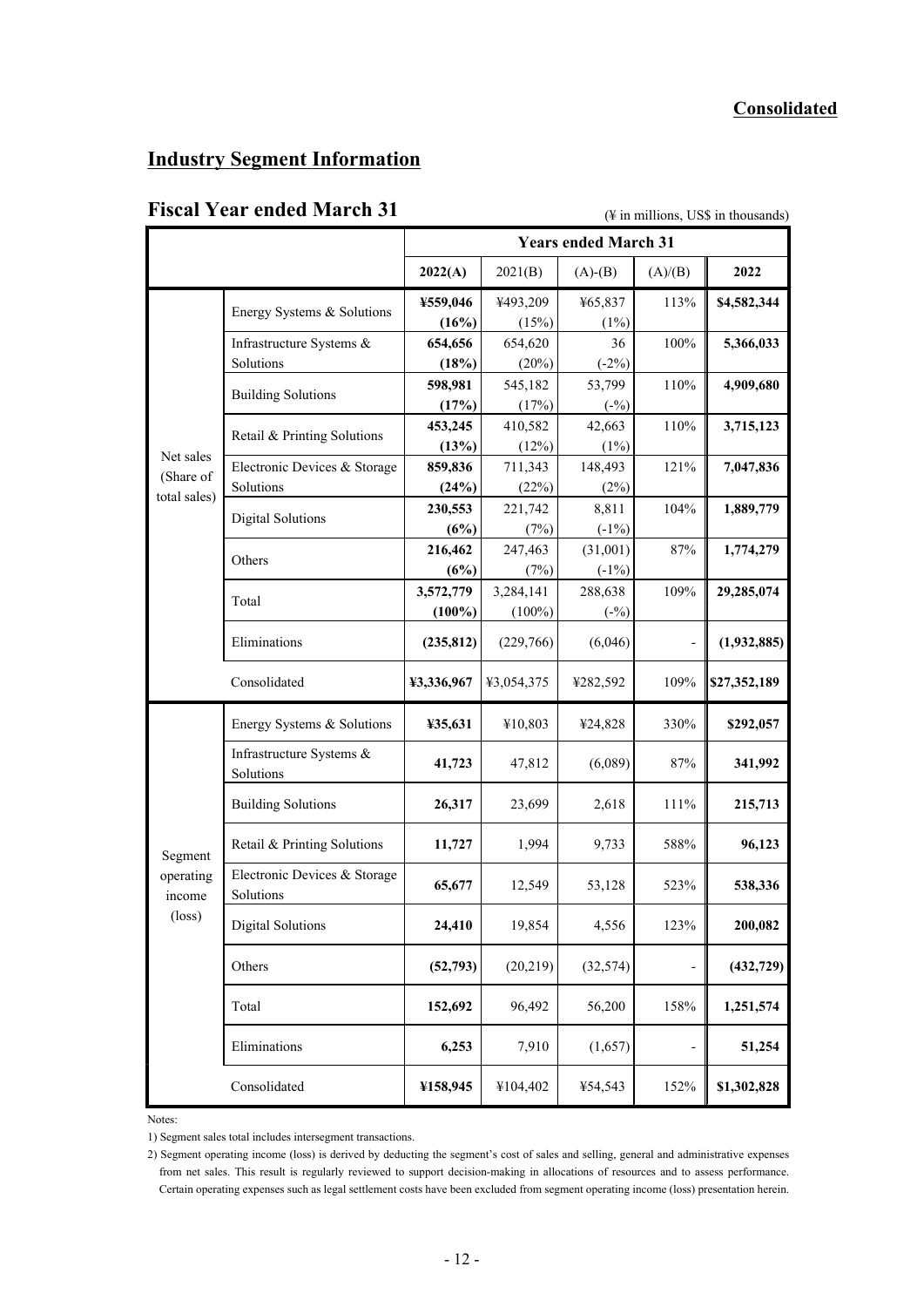# **Industry Segment Information**

# Fiscal Year ended March 31 ( $\frac{4}{4}$  in millions, US\$ in thousands)

|                     |                                           | <b>Years ended March 31</b> |                  |                   |         |              |
|---------------------|-------------------------------------------|-----------------------------|------------------|-------------------|---------|--------------|
|                     |                                           | 2022(A)                     | 2021(B)          | $(A)$ - $(B)$     | (A)/(B) | 2022         |
|                     | Energy Systems & Solutions                | ¥559,046                    | ¥493,209         | ¥65,837           | 113%    | \$4,582,344  |
|                     |                                           | (16%)                       | (15%)            | (1%)              |         |              |
|                     | Infrastructure Systems $\&$               | 654,656                     | 654,620          | 36                | 100%    | 5,366,033    |
|                     | Solutions                                 | (18%)                       | (20%)            | $(-2%)$           |         |              |
|                     | <b>Building Solutions</b>                 | 598,981                     | 545,182          | 53,799            | 110%    | 4,909,680    |
|                     |                                           | (17%)                       | (17%)            | $(-\%)$           |         |              |
|                     | Retail & Printing Solutions               | 453,245<br>(13%)            | 410,582<br>(12%) | 42,663<br>$(1\%)$ | 110%    | 3,715,123    |
| Net sales           | Electronic Devices & Storage              | 859,836                     | 711,343          | 148,493           | 121%    | 7,047,836    |
| (Share of           | Solutions                                 | (24%)                       | (22%)            | (2%)              |         |              |
| total sales)        |                                           | 230,553                     | 221,742          | 8,811             | 104%    | 1,889,779    |
|                     | <b>Digital Solutions</b>                  | (6%)                        | (7%)             | $(-1%)$           |         |              |
|                     |                                           | 216,462                     | 247,463          | (31,001)          | $87\%$  | 1,774,279    |
|                     | Others                                    | (6%)                        | (7%)             | $(-1%)$           |         |              |
|                     | Total                                     | 3,572,779                   | 3,284,141        | 288,638           | 109%    | 29,285,074   |
|                     |                                           | $(100\%)$                   | $(100\%)$        | $(-\%)$           |         |              |
|                     | Eliminations                              | (235, 812)                  | (229,766)        | (6,046)           |         | (1,932,885)  |
|                     | Consolidated                              | ¥3,336,967                  | ¥3,054,375       | ¥282,592          | 109%    | \$27,352,189 |
|                     | Energy Systems & Solutions                | ¥35,631                     | ¥10,803          | ¥24,828           | 330%    | \$292,057    |
|                     | Infrastructure Systems &<br>Solutions     | 41,723                      | 47,812           | (6,089)           | $87\%$  | 341,992      |
|                     | <b>Building Solutions</b>                 | 26,317                      | 23,699           | 2,618             | $111\%$ | 215,713      |
| Segment             | Retail & Printing Solutions               | 11,727                      | 1,994            | 9,733             | 588%    | 96,123       |
| operating<br>income | Electronic Devices & Storage<br>Solutions | 65,677                      | 12,549           | 53,128            | 523%    | 538,336      |
| $(\text{loss})$     | <b>Digital Solutions</b>                  | 24,410                      | 19,854           | 4,556             | 123%    | 200,082      |
|                     | Others                                    | (52, 793)                   | (20, 219)        | (32, 574)         |         | (432, 729)   |
|                     | Total                                     | 152,692                     | 96,492           | 56,200            | 158%    | 1,251,574    |
|                     | Eliminations                              | 6,253                       | 7,910            | (1,657)           |         | 51,254       |
|                     | Consolidated                              | ¥158,945                    | ¥104,402         | ¥54,543           | 152%    | \$1,302,828  |

Notes:

1) Segment sales total includes intersegment transactions.

2) Segment operating income (loss) is derived by deducting the segment's cost of sales and selling, general and administrative expenses from net sales. This result is regularly reviewed to support decision-making in allocations of resources and to assess performance. Certain operating expenses such as legal settlement costs have been excluded from segment operating income (loss) presentation herein.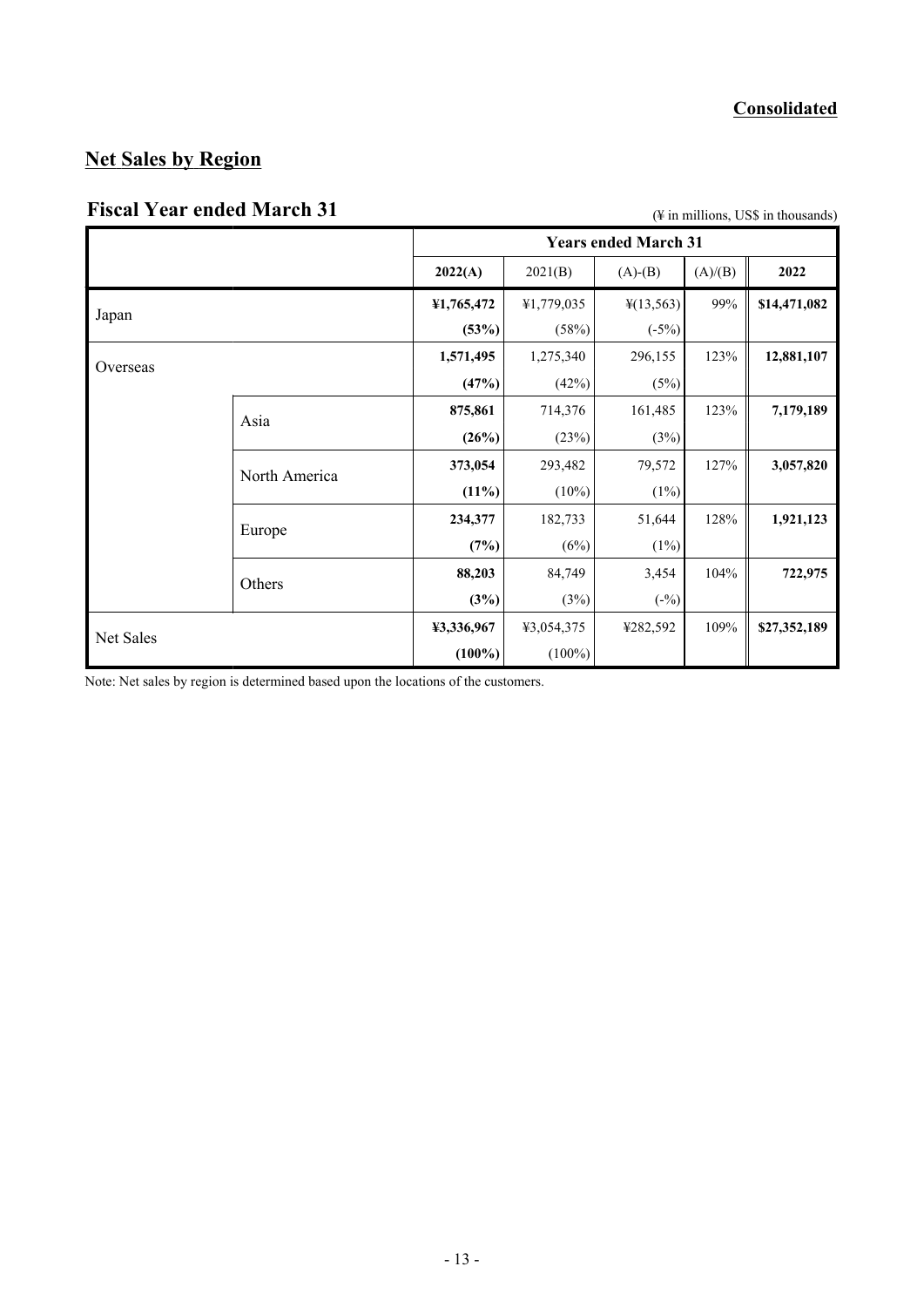# **Net Sales by Region**

# Fiscal Year ended March 31 (4 in millions, US\$ in thousands)

|           |               | <b>Years ended March 31</b> |            |                       |         |              |
|-----------|---------------|-----------------------------|------------|-----------------------|---------|--------------|
|           |               | 2022(A)                     | 2021(B)    | $(A)-(B)$             | (A)/(B) | 2022         |
| Japan     |               | ¥1,765,472                  | ¥1,779,035 | $\frac{1}{2}(13,563)$ | 99%     | \$14,471,082 |
|           |               | (53%)                       | (58%)      | $(-5%)$               |         |              |
| Overseas  |               | 1,571,495                   | 1,275,340  | 296,155               | 123%    | 12,881,107   |
|           |               | (47%)                       | (42%)      | (5%)                  |         |              |
|           | Asia          | 875,861                     | 714,376    | 161,485               | 123%    | 7,179,189    |
|           |               | (26%)                       | (23%)      | (3%)                  |         |              |
|           | North America | 373,054                     | 293,482    | 79,572                | 127%    | 3,057,820    |
|           |               | (11%)                       | $(10\%)$   | $(1\%)$               |         |              |
|           | Europe        | 234,377                     | 182,733    | 51,644                | 128%    | 1,921,123    |
|           |               | (7%)                        | (6%)       | $(1\%)$               |         |              |
|           | Others        | 88,203                      | 84,749     | 3,454                 | 104%    | 722,975      |
|           |               | (3%)                        | (3%)       | $(-\%)$               |         |              |
| Net Sales |               | ¥3,336,967                  | ¥3,054,375 | ¥282,592              | 109%    | \$27,352,189 |
|           |               | $(100\%)$                   | $(100\%)$  |                       |         |              |

Note: Net sales by region is determined based upon the locations of the customers.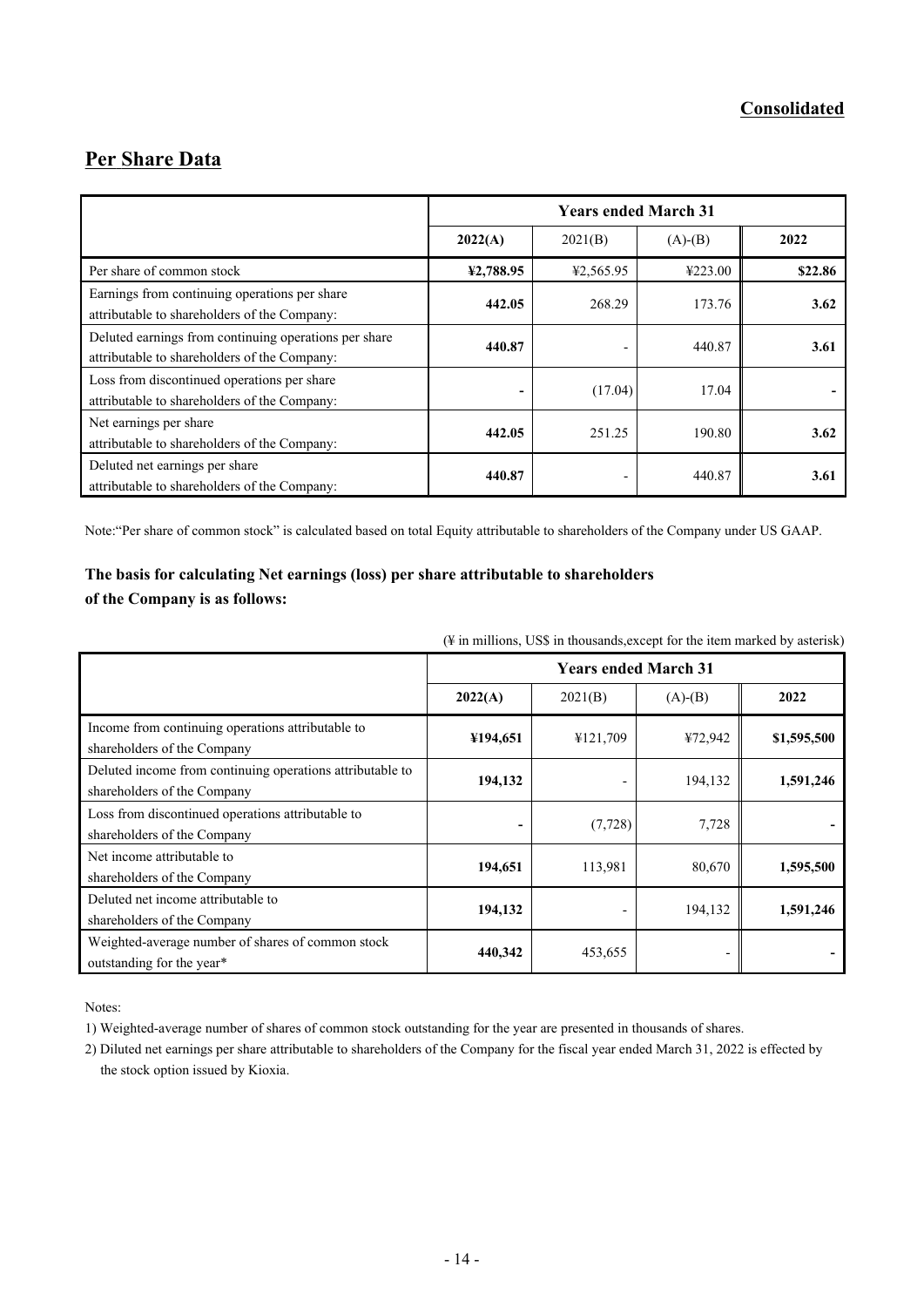# **Per Share Data**

|                                                                                                       | <b>Years ended March 31</b> |           |           |         |  |
|-------------------------------------------------------------------------------------------------------|-----------------------------|-----------|-----------|---------|--|
|                                                                                                       | 2022(A)                     | 2021(B)   | $(A)-(B)$ | 2022    |  |
| Per share of common stock                                                                             | ¥2,788.95                   | ¥2,565.95 | ¥223.00   | \$22.86 |  |
| Earnings from continuing operations per share<br>attributable to shareholders of the Company:         | 442.05                      | 268.29    | 173.76    | 3.62    |  |
| Deluted earnings from continuing operations per share<br>attributable to shareholders of the Company: | 440.87                      |           | 440.87    | 3.61    |  |
| Loss from discontinued operations per share<br>attributable to shareholders of the Company:           | -                           | (17.04)   | 17.04     |         |  |
| Net earnings per share<br>attributable to shareholders of the Company:                                | 442.05                      | 251.25    | 190.80    | 3.62    |  |
| Deluted net earnings per share<br>attributable to shareholders of the Company:                        | 440.87                      | -         | 440.87    | 3.61    |  |

Note:"Per share of common stock" is calculated based on total Equity attributable to shareholders of the Company under US GAAP.

#### **The basis for calculating Net earnings (loss) per share attributable to shareholders of the Company is as follows:**

(¥ in millions, US\$ in thousands,except for the item marked by asterisk)

|                                                                                          | <b>Years ended March 31</b> |          |           |             |  |
|------------------------------------------------------------------------------------------|-----------------------------|----------|-----------|-------------|--|
|                                                                                          | 2022(A)                     | 2021(B)  | $(A)-(B)$ | 2022        |  |
| Income from continuing operations attributable to<br>shareholders of the Company         | ¥194,651                    | ¥121,709 | ¥72,942   | \$1,595,500 |  |
| Deluted income from continuing operations attributable to<br>shareholders of the Company | 194,132                     |          | 194,132   | 1,591,246   |  |
| Loss from discontinued operations attributable to<br>shareholders of the Company         | -                           | (7, 728) | 7,728     |             |  |
| Net income attributable to<br>shareholders of the Company                                | 194,651                     | 113,981  | 80,670    | 1,595,500   |  |
| Deluted net income attributable to<br>shareholders of the Company                        | 194,132                     |          | 194,132   | 1,591,246   |  |
| Weighted-average number of shares of common stock<br>outstanding for the year*           | 440,342                     | 453,655  |           |             |  |

Notes:

1) Weighted-average number of shares of common stock outstanding for the year are presented in thousands of shares.

2) Diluted net earnings per share attributable to shareholders of the Company for the fiscal year ended March 31, 2022 is effected by the stock option issued by Kioxia.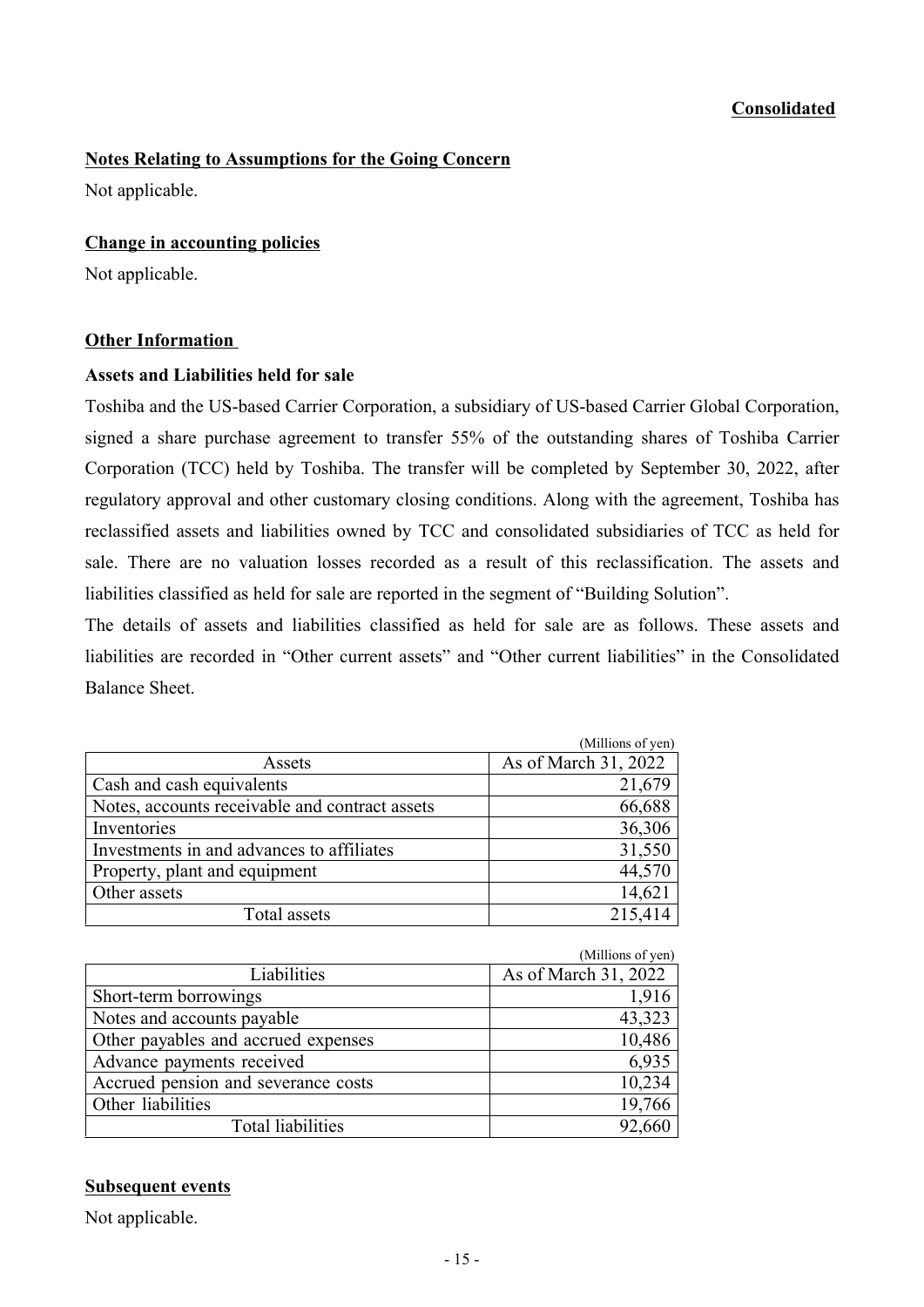#### **Notes Relating to Assumptions for the Going Concern**

Not applicable.

#### **Change in accounting policies**

Not applicable.

#### **Other Information**

#### **Assets and Liabilities held for sale**

Toshiba and the US-based Carrier Corporation, a subsidiary of US-based Carrier Global Corporation, signed a share purchase agreement to transfer 55% of the outstanding shares of Toshiba Carrier Corporation (TCC) held by Toshiba. The transfer will be completed by September 30, 2022, after regulatory approval and other customary closing conditions. Along with the agreement, Toshiba has reclassified assets and liabilities owned by TCC and consolidated subsidiaries of TCC as held for sale. There are no valuation losses recorded as a result of this reclassification. The assets and liabilities classified as held for sale are reported in the segment of "Building Solution".

The details of assets and liabilities classified as held for sale are as follows. These assets and liabilities are recorded in "Other current assets" and "Other current liabilities" in the Consolidated Balance Sheet.

|                                                | (Millions of yen)    |
|------------------------------------------------|----------------------|
| Assets                                         | As of March 31, 2022 |
| Cash and cash equivalents                      | 21,679               |
| Notes, accounts receivable and contract assets | 66,688               |
| Inventories                                    | 36,306               |
| Investments in and advances to affiliates      | 31,550               |
| Property, plant and equipment                  | 44,570               |
| Other assets                                   | 14,621               |
| Total assets                                   | 215,414              |

|                                     | (Millions of yen)    |
|-------------------------------------|----------------------|
| Liabilities                         | As of March 31, 2022 |
| Short-term borrowings               | 1,916                |
| Notes and accounts payable          | 43,323               |
| Other payables and accrued expenses | 10,486               |
| Advance payments received           | 6,935                |
| Accrued pension and severance costs | 10,234               |
| Other liabilities                   | 19,766               |
| Total liabilities                   | 92,660               |
|                                     |                      |

#### **Subsequent events**

Not applicable.